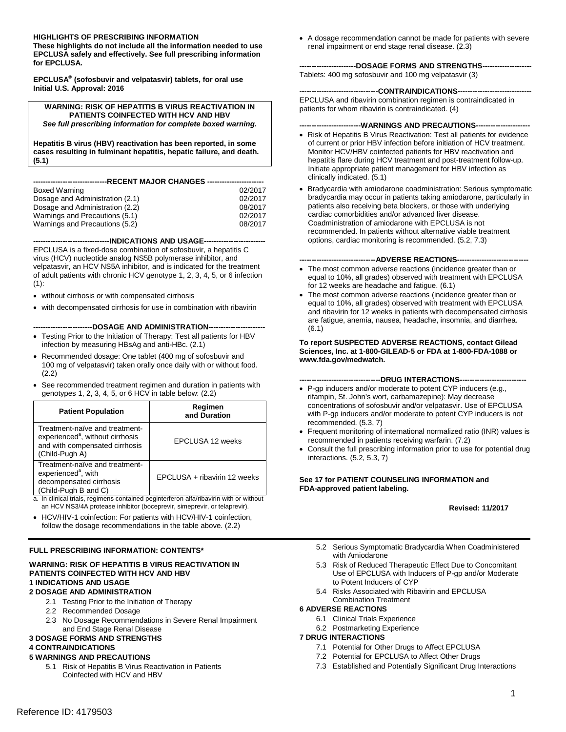#### **HIGHLIGHTS OF PRESCRIBING INFORMATION**

 **These highlights do not include all the information needed to use EPCLUSA safely and effectively. See full prescribing information for EPCLUSA.** 

**EPCLUSA® (sofosbuvir and velpatasvir) tablets, for oral use Initial U.S. Approval: 2016** 

**WARNING: RISK OF HEPATITIS B VIRUS REACTIVATION IN PATIENTS COINFECTED WITH HCV AND HBV** *See full prescribing information for complete boxed warning.* 

 **Hepatitis B virus (HBV) reactivation has been reported, in some cases resulting in fulminant hepatitis, hepatic failure, and death. (5.1)** 

| ----------------------RECENT                                 MAJOR CHANGES ----------------------- |         |
|----------------------------------------------------------------------------------------------------|---------|
|                                                                                                    |         |
| Boxed Warning                                                                                      | 02/2017 |
| Dosage and Administration (2.1)                                                                    | 02/2017 |
| Dosage and Administration (2.2)                                                                    | 08/2017 |
| Warnings and Precautions (5.1)                                                                     | 02/2017 |

Warnings and Precautions (5.2) 08/2017

**-------------------------------INDICATIONS AND USAGE------------------------**

 velpatasvir, an HCV NS5A inhibitor, and is indicated for the treatment of adult patients with chronic HCV genotype 1, 2, 3, 4, 5, or 6 infection EPCLUSA is a fixed-dose combination of sofosbuvir, a hepatitis C virus (HCV) nucleotide analog NS5B polymerase inhibitor, and  $(1):$ 

- without cirrhosis or with compensated cirrhosis
- with decompensated cirrhosis for use in combination with ribavirin

----DOSAGE AND ADMINISTRATION-----

- Testing Prior to the Initiation of Therapy: Test all patients for HBV infection by measuring HBsAg and anti-HBc. (2.1)
- 100 mg of velpatasvir) taken orally once daily with or without food. Recommended dosage: One tablet (400 mg of sofosbuvir and (2.2)
- genotypes 1, 2, 3, 4, 5, or 6 HCV in table below: (2.2) • See recommended treatment regimen and duration in patients with

| <b>Patient Population</b>                                                                                                          | Regimen<br>and Duration                                                                                                                                |
|------------------------------------------------------------------------------------------------------------------------------------|--------------------------------------------------------------------------------------------------------------------------------------------------------|
| Treatment-naïve and treatment-<br>experienced <sup>a</sup> , without cirrhosis<br>and with compensated cirrhosis<br>(Child-Pugh A) | EPCLUSA 12 weeks                                                                                                                                       |
| Treatment-naïve and treatment-<br>experienced <sup>a</sup> , with<br>decompensated cirrhosis<br>(Child-Pugh B and C)               | EPCLUSA + ribavirin 12 weeks<br>المنادع والمقادر والمساوية والمستقل والمستقل والمستحقق والمستحدث والمستحدث والمستحدث والمناوية المادية والمنقاب والمنا |

- a. In clinical trials, regimens contained peginterferon alfa/ribavirin with or without an HCV NS3/4A protease inhibitor (boceprevir, simeprevir, or telaprevir).
- follow the dosage recommendations in the table above. (2.2) HCV/HIV-1 coinfection: For patients with HCV/HIV-1 coinfection,

#### **FULL PRESCRIBING INFORMATION: CONTENTS\***

#### **WARNING: RISK OF HEPATITIS B VIRUS REACTIVATION IN PATIENTS COINFECTED WITH HCV AND HBV 1 INDICATIONS AND USAGE**

#### **2 DOSAGE AND ADMINISTRATION**

- 2.1 Testing Prior to the Initiation of Therapy
- 2.2 Recommended Dosage
- 2.3 No Dosage Recommendations in Severe Renal Impairment and End Stage Renal Disease

#### **3 DOSAGE FORMS AND STRENGTHS**

#### **4 CONTRAINDICATIONS**

#### **5 WARNINGS AND PRECAUTIONS**

5.1 Risk of Hepatitis B Virus Reactivation in Patients Coinfected with HCV and HBV

 renal impairment or end stage renal disease. (2.3) • A dosage recommendation cannot be made for patients with severe

#### **-----------------------DOSAGE FORMS AND STRENGTHS-------------------**

Tablets: 400 mg sofosbuvir and 100 mg velpatasvir (3)

#### **--------------------------------CONTRAINDICATIONS-----------------------------**

 patients for whom ribavirin is contraindicated. (4) EPCLUSA and ribavirin combination regimen is contraindicated in

#### **-------------------------WARNINGS AND PRECAUTIONS---------------------**

- Risk of Hepatitis B Virus Reactivation: Test all patients for evidence of current or prior HBV infection before initiation of HCV treatment. Monitor HCV/HBV coinfected patients for HBV reactivation and hepatitis flare during HCV treatment and post-treatment follow-up. Initiate appropriate patient management for HBV infection as clinically indicated. (5.1)
- options, cardiac monitoring is recommended. (5.2, 7.3) • Bradycardia with amiodarone coadministration: Serious symptomatic bradycardia may occur in patients taking amiodarone, particularly in patients also receiving beta blockers, or those with underlying cardiac comorbidities and/or advanced liver disease. Coadministration of amiodarone with EPCLUSA is not recommended. In patients without alternative viable treatment

#### ---ADVERSE REACTIONS---

- The most common adverse reactions (incidence greater than or equal to 10%, all grades) observed with treatment with EPCLUSA for 12 weeks are headache and fatigue. (6.1)
- The most common adverse reactions (incidence greater than or equal to 10%, all grades) observed with treatment with EPCLUSA and ribavirin for 12 weeks in patients with decompensated cirrhosis are fatigue, anemia, nausea, headache, insomnia, and diarrhea. (6.1)

#### **To report SUSPECTED ADVERSE REACTIONS, contact Gilead Sciences, Inc. at 1-800-GILEAD-5 or FDA at 1-800-FDA-1088 or www.fda.gov/medwatch.**

#### **---------------------------------DRUG INTERACTIONS--------------------------**

- • P-gp inducers and/or moderate to potent CYP inducers (e.g., with P-gp inducers and/or moderate to potent CYP inducers is not recommended. (5.3, 7) rifampin, St. John's wort, carbamazepine): May decrease concentrations of sofosbuvir and/or velpatasvir. Use of EPCLUSA
- Frequent monitoring of international normalized ratio (INR) values is recommended in patients receiving warfarin. (7.2)
- Consult the full prescribing information prior to use for potential drug interactions. (5.2, 5.3, 7)

#### **See 17 for PATIENT COUNSELING INFORMATION and FDA-approved patient labeling.**

#### **Revised: 11/2017**

- 5.2 Serious Symptomatic Bradycardia When Coadministered with Amiodarone
- 5.3 Risk of Reduced Therapeutic Effect Due to Concomitant Use of EPCLUSA with Inducers of P-gp and/or Moderate to Potent Inducers of CYP
- 5.4 Risks Associated with Ribavirin and EPCLUSA Combination Treatment

#### **6 ADVERSE REACTIONS**

- 6.1 Clinical Trials Experience
- 6.2 Postmarketing Experience

#### **7 DRUG INTERACTIONS**

- 7.1 Potential for Other Drugs to Affect EPCLUSA
- 7.2 Potential for EPCLUSA to Affect Other Drugs
- 7.3 Established and Potentially Significant Drug Interactions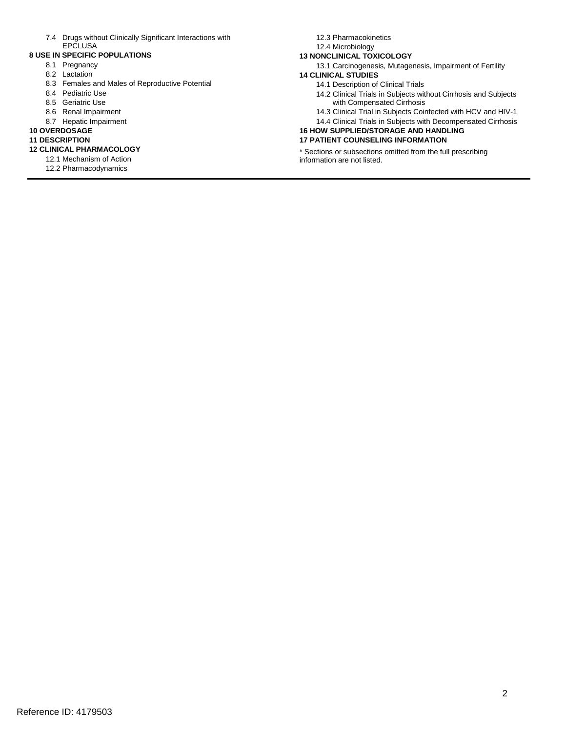7.4 Drugs without Clinically Significant Interactions with **EPCLUSA** 

#### **8 USE IN SPECIFIC POPULATIONS**

- 8.1 Pregnancy
- 8.2 Lactation
- 8.3 Females and Males of Reproductive Potential
- 8.4 Pediatric Use
- 8.5 Geriatric Use
- 8.6 Renal Impairment
- 8.7 Hepatic Impairment

#### **10 OVERDOSAGE**

# **11 DESCRIPTION**

- **12 CLINICAL PHARMACOLOGY**  12.1 Mechanism of Action
	- 12.2 Pharmacodynamics
- 12.3 Pharmacokinetics
- 12.4 Microbiology

#### **13 NONCLINICAL TOXICOLOGY**

- 13.1 Carcinogenesis, Mutagenesis, Impairment of Fertility **14 CLINICAL STUDIES** 
	- 14.1 Description of Clinical Trials
	- 14.2 Clinical Trials in Subjects without Cirrhosis and Subjects with Compensated Cirrhosis
	- 14.3 Clinical Trial in Subjects Coinfected with HCV and HIV-1
	- 14.4 Clinical Trials in Subjects with Decompensated Cirrhosis

#### **16 HOW SUPPLIED/STORAGE AND HANDLING**

### **17 PATIENT COUNSELING INFORMATION**

 \* Sections or subsections omitted from the full prescribing information are not listed.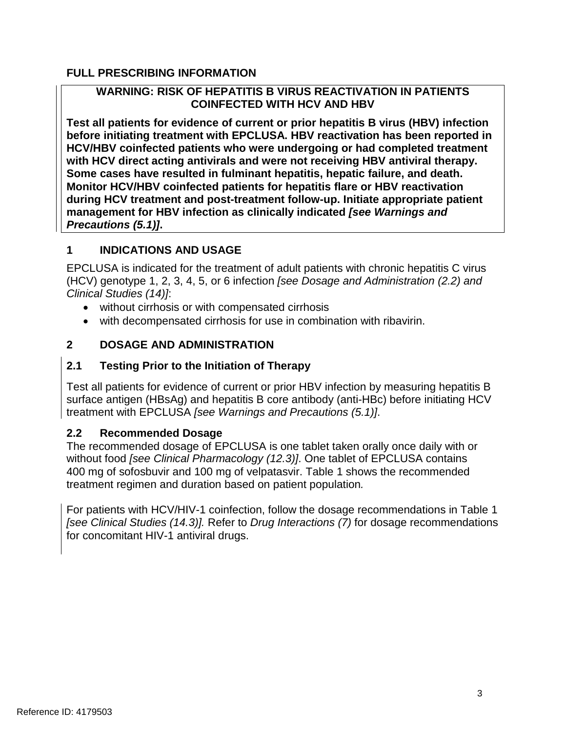# **FULL PRESCRIBING INFORMATION**

# **WARNING: RISK OF HEPATITIS B VIRUS REACTIVATION IN PATIENTS COINFECTED WITH HCV AND HBV**

**Test all patients for evidence of current or prior hepatitis B virus (HBV) infection before initiating treatment with EPCLUSA. HBV reactivation has been reported in HCV/HBV coinfected patients who were undergoing or had completed treatment with HCV direct acting antivirals and were not receiving HBV antiviral therapy. Some cases have resulted in fulminant hepatitis, hepatic failure, and death. Monitor HCV/HBV coinfected patients for hepatitis flare or HBV reactivation during HCV treatment and post-treatment follow-up. Initiate appropriate patient management for HBV infection as clinically indicated** *[see Warnings and Precautions (5.1)]***.** 

## **1 INDICATIONS AND USAGE**

 EPCLUSA is indicated for the treatment of adult patients with chronic hepatitis C virus (HCV) genotype 1, 2, 3, 4, 5, or 6 infection *[see Dosage and Administration (2.2) and Clinical Studies (14)]*:

- without cirrhosis or with compensated cirrhosis
- with decompensated cirrhosis for use in combination with ribavirin.

# **2 DOSAGE AND ADMINISTRATION**

# **2.1 Testing Prior to the Initiation of Therapy**

 Test all patients for evidence of current or prior HBV infection by measuring hepatitis B surface antigen (HBsAg) and hepatitis B core antibody (anti-HBc) before initiating HCV treatment with EPCLUSA *[see Warnings and Precautions (5.1)]*.

## **2.2 Recommended Dosage**

 The recommended dosage of EPCLUSA is one tablet taken orally once daily with or without food *[see Clinical Pharmacology (12.3)]*. One tablet of EPCLUSA contains 400 mg of sofosbuvir and 100 mg of velpatasvir. Table 1 shows the recommended treatment regimen and duration based on patient population*.* 

For patients with HCV/HIV-1 coinfection, follow the dosage recommendations in Table 1 *[see Clinical Studies (14.3)].* Refer to *Drug Interactions (7)* for dosage recommendations for concomitant HIV-1 antiviral drugs.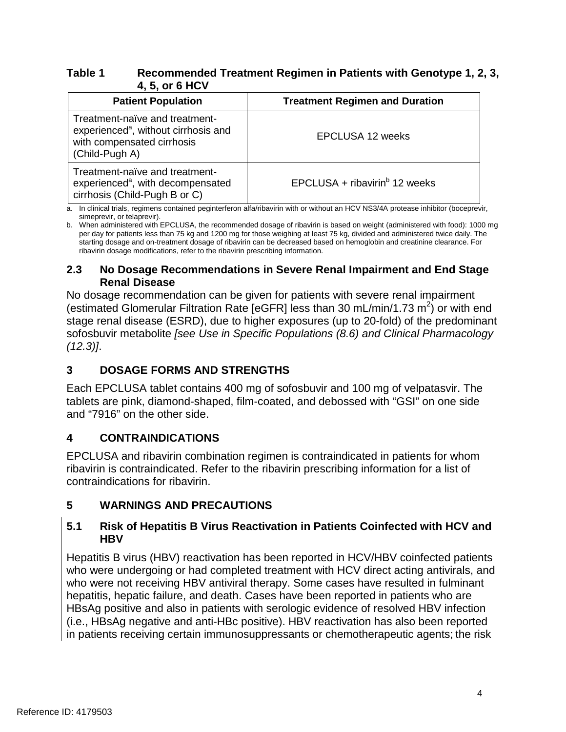# **Table 1 Recommended Treatment Regimen in Patients with Genotype 1, 2, 3, 4, 5, or 6 HCV**

| <b>Patient Population</b>                                                                                                          | <b>Treatment Regimen and Duration</b>   |
|------------------------------------------------------------------------------------------------------------------------------------|-----------------------------------------|
| Treatment-naïve and treatment-<br>experienced <sup>a</sup> , without cirrhosis and<br>with compensated cirrhosis<br>(Child-Pugh A) | EPCLUSA 12 weeks                        |
| Treatment-naïve and treatment-<br>experienced <sup>a</sup> , with decompensated<br>cirrhosis (Child-Pugh B or C)                   | EPCLUSA + ribavirin $^{\circ}$ 12 weeks |

a. In clinical trials, regimens contained peginterferon alfa/ribavirin with or without an HCV NS3/4A protease inhibitor (boceprevir, simeprevir, or telaprevir).

 per day for patients less than 75 kg and 1200 mg for those weighing at least 75 kg, divided and administered twice daily. The b. When administered with EPCLUSA, the recommended dosage of ribavirin is based on weight (administered with food): 1000 mg starting dosage and on-treatment dosage of ribavirin can be decreased based on hemoglobin and creatinine clearance. For ribavirin dosage modifications, refer to the ribavirin prescribing information.

## **2.3 No Dosage Recommendations in Severe Renal Impairment and End Stage Renal Disease**

No dosage recommendation can be given for patients with severe renal impairment (estimated Glomerular Filtration Rate [eGFR] less than 30 mL/min/1.73  $m^2$ ) or with end stage renal disease (ESRD), due to higher exposures (up to 20-fold) of the predominant sofosbuvir metabolite *[see Use in Specific Populations (8.6) and Clinical Pharmacology (12.3)]*.

# **3 DOSAGE FORMS AND STRENGTHS**

Each EPCLUSA tablet contains 400 mg of sofosbuvir and 100 mg of velpatasvir. The tablets are pink, diamond-shaped, film-coated, and debossed with "GSI" on one side and "7916" on the other side.

# **4 CONTRAINDICATIONS**

 EPCLUSA and ribavirin combination regimen is contraindicated in patients for whom ribavirin is contraindicated. Refer to the ribavirin prescribing information for a list of contraindications for ribavirin.

# **5 WARNINGS AND PRECAUTIONS**

## **5.1 Risk of Hepatitis B Virus Reactivation in Patients Coinfected with HCV and HBV**

Hepatitis B virus (HBV) reactivation has been reported in HCV/HBV coinfected patients who were undergoing or had completed treatment with HCV direct acting antivirals, and who were not receiving HBV antiviral therapy. Some cases have resulted in fulminant hepatitis, hepatic failure, and death. Cases have been reported in patients who are HBsAg positive and also in patients with serologic evidence of resolved HBV infection (i.e., HBsAg negative and anti-HBc positive). HBV reactivation has also been reported in patients receiving certain immunosuppressants or chemotherapeutic agents; the risk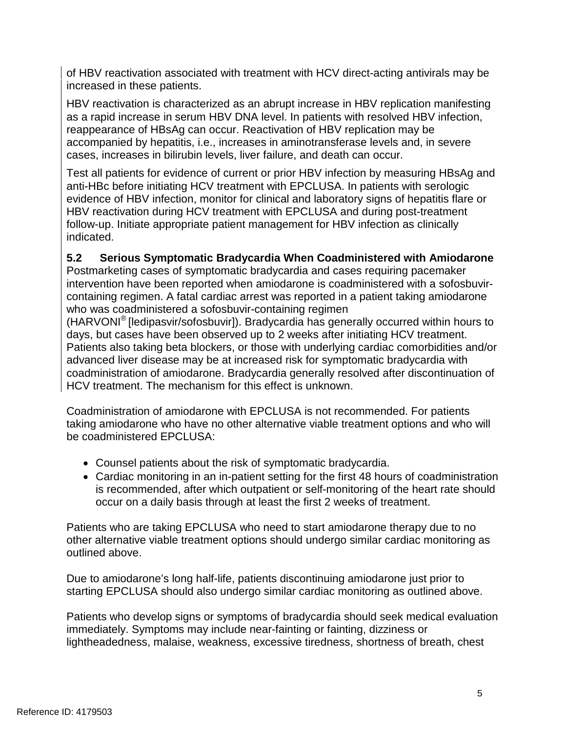of HBV reactivation associated with treatment with HCV direct-acting antivirals may be increased in these patients.

HBV reactivation is characterized as an abrupt increase in HBV replication manifesting as a rapid increase in serum HBV DNA level. In patients with resolved HBV infection, reappearance of HBsAg can occur. Reactivation of HBV replication may be accompanied by hepatitis, i.e., increases in aminotransferase levels and, in severe cases, increases in bilirubin levels, liver failure, and death can occur.

 Test all patients for evidence of current or prior HBV infection by measuring HBsAg and evidence of HBV infection, monitor for clinical and laboratory signs of hepatitis flare or HBV reactivation during HCV treatment with EPCLUSA and during post-treatment anti-HBc before initiating HCV treatment with EPCLUSA. In patients with serologic follow-up. Initiate appropriate patient management for HBV infection as clinically indicated.

## **5.2 Serious Symptomatic Bradycardia When Coadministered with Amiodarone**

 containing regimen. A fatal cardiac arrest was reported in a patient taking amiodarone Postmarketing cases of symptomatic bradycardia and cases requiring pacemaker intervention have been reported when amiodarone is coadministered with a sofosbuvirwho was coadministered a sofosbuvir-containing regimen

 HCV treatment. The mechanism for this effect is unknown. (HARVONI® [ledipasvir/sofosbuvir]). Bradycardia has generally occurred within hours to days, but cases have been observed up to 2 weeks after initiating HCV treatment. Patients also taking beta blockers, or those with underlying cardiac comorbidities and/or advanced liver disease may be at increased risk for symptomatic bradycardia with coadministration of amiodarone. Bradycardia generally resolved after discontinuation of

Coadministration of amiodarone with EPCLUSA is not recommended. For patients taking amiodarone who have no other alternative viable treatment options and who will be coadministered EPCLUSA:

- • Counsel patients about the risk of symptomatic bradycardia.
- Cardiac monitoring in an in-patient setting for the first 48 hours of coadministration is recommended, after which outpatient or self-monitoring of the heart rate should occur on a daily basis through at least the first 2 weeks of treatment.

Patients who are taking EPCLUSA who need to start amiodarone therapy due to no other alternative viable treatment options should undergo similar cardiac monitoring as outlined above.

 Due to amiodarone's long half-life, patients discontinuing amiodarone just prior to starting EPCLUSA should also undergo similar cardiac monitoring as outlined above.

Patients who develop signs or symptoms of bradycardia should seek medical evaluation immediately. Symptoms may include near-fainting or fainting, dizziness or lightheadedness, malaise, weakness, excessive tiredness, shortness of breath, chest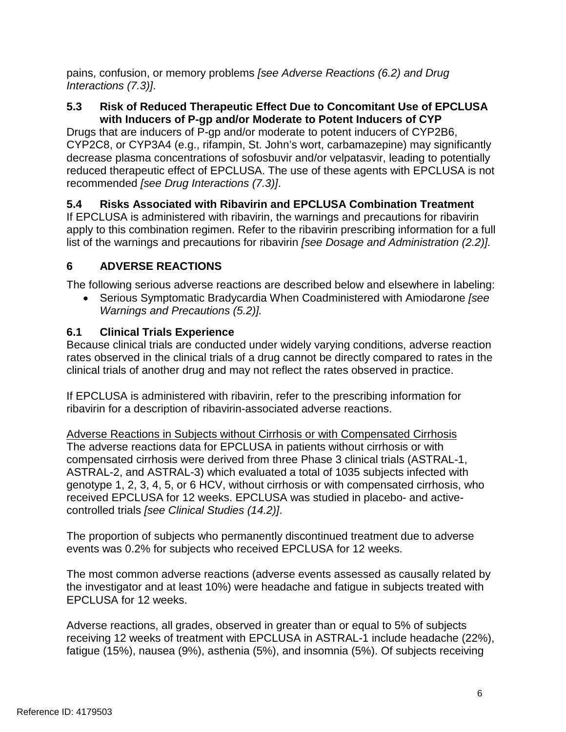pains, confusion, or memory problems *[see Adverse Reactions (6.2) and Drug Interactions (7.3)]*.

# **5.3 Risk of Reduced Therapeutic Effect Due to Concomitant Use of EPCLUSA with Inducers of P-gp and/or Moderate to Potent Inducers of CYP**

 reduced therapeutic effect of EPCLUSA. The use of these agents with EPCLUSA is not Drugs that are inducers of P-gp and/or moderate to potent inducers of CYP2B6, CYP2C8, or CYP3A4 (e.g., rifampin, St. John's wort, carbamazepine) may significantly decrease plasma concentrations of sofosbuvir and/or velpatasvir, leading to potentially recommended *[see Drug Interactions (7.3)]*.

# **5.4 Risks Associated with Ribavirin and EPCLUSA Combination Treatment**

 apply to this combination regimen. Refer to the ribavirin prescribing information for a full If EPCLUSA is administered with ribavirin, the warnings and precautions for ribavirin list of the warnings and precautions for ribavirin *[see Dosage and Administration (2.2)].* 

# **6 ADVERSE REACTIONS**

The following serious adverse reactions are described below and elsewhere in labeling:

• Serious Symptomatic Bradycardia When Coadministered with Amiodarone *[see Warnings and Precautions (5.2)].* 

# **6.1 Clinical Trials Experience**

Because clinical trials are conducted under widely varying conditions, adverse reaction rates observed in the clinical trials of a drug cannot be directly compared to rates in the clinical trials of another drug and may not reflect the rates observed in practice.

If EPCLUSA is administered with ribavirin, refer to the prescribing information for ribavirin for a description of ribavirin-associated adverse reactions.

 The adverse reactions data for EPCLUSA in patients without cirrhosis or with genotype 1, 2, 3, 4, 5, or 6 HCV, without cirrhosis or with compensated cirrhosis, who received EPCLUSA for 12 weeks. EPCLUSA was studied in placebo- and active-Adverse Reactions in Subjects without Cirrhosis or with Compensated Cirrhosis compensated cirrhosis were derived from three Phase 3 clinical trials (ASTRAL-1, ASTRAL-2, and ASTRAL-3) which evaluated a total of 1035 subjects infected with controlled trials *[see Clinical Studies (14.2)]*.

 events was 0.2% for subjects who received EPCLUSA for 12 weeks. The proportion of subjects who permanently discontinued treatment due to adverse

 The most common adverse reactions (adverse events assessed as causally related by the investigator and at least 10%) were headache and fatigue in subjects treated with EPCLUSA for 12 weeks.

 receiving 12 weeks of treatment with EPCLUSA in ASTRAL-1 include headache (22%), Adverse reactions, all grades, observed in greater than or equal to 5% of subjects fatigue (15%), nausea (9%), asthenia (5%), and insomnia (5%). Of subjects receiving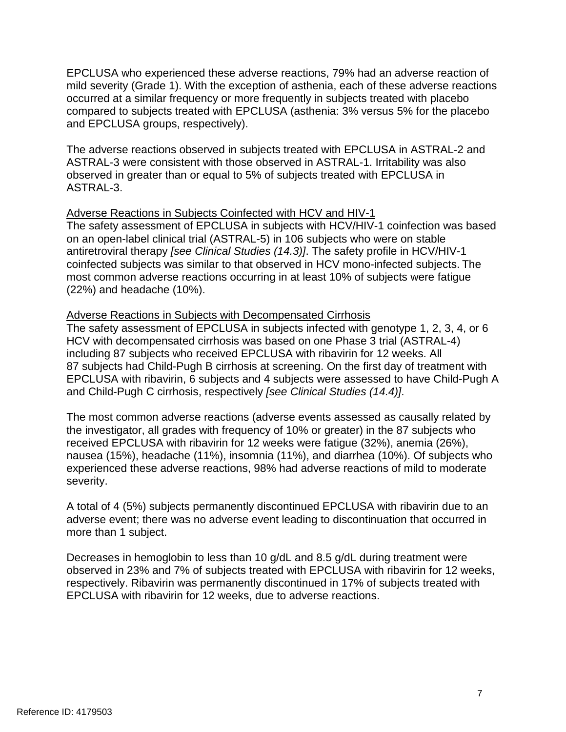mild severity (Grade 1). With the exception of asthenia, each of these adverse reactions EPCLUSA who experienced these adverse reactions, 79% had an adverse reaction of occurred at a similar frequency or more frequently in subjects treated with placebo compared to subjects treated with EPCLUSA (asthenia: 3% versus 5% for the placebo and EPCLUSA groups, respectively).

 ASTRAL-3 were consistent with those observed in ASTRAL-1. Irritability was also observed in greater than or equal to 5% of subjects treated with EPCLUSA in The adverse reactions observed in subjects treated with EPCLUSA in ASTRAL-2 and ASTRAL-3.

## Adverse Reactions in Subjects Coinfected with HCV and HIV-1

The safety assessment of EPCLUSA in subjects with HCV/HIV-1 coinfection was based on an open-label clinical trial (ASTRAL-5) in 106 subjects who were on stable antiretroviral therapy *[see Clinical Studies (14.3)]*. The safety profile in HCV/HIV-1 coinfected subjects was similar to that observed in HCV mono-infected subjects. The most common adverse reactions occurring in at least 10% of subjects were fatigue (22%) and headache (10%).

## Adverse Reactions in Subjects with Decompensated Cirrhosis

The safety assessment of EPCLUSA in subjects infected with genotype 1, 2, 3, 4, or 6 HCV with decompensated cirrhosis was based on one Phase 3 trial (ASTRAL-4) including 87 subjects who received EPCLUSA with ribavirin for 12 weeks. All 87 subjects had Child-Pugh B cirrhosis at screening. On the first day of treatment with EPCLUSA with ribavirin, 6 subjects and 4 subjects were assessed to have Child-Pugh A and Child-Pugh C cirrhosis, respectively *[see Clinical Studies (14.4)]*.

 The most common adverse reactions (adverse events assessed as causally related by the investigator, all grades with frequency of 10% or greater) in the 87 subjects who received EPCLUSA with ribavirin for 12 weeks were fatigue (32%), anemia (26%), nausea (15%), headache (11%), insomnia (11%), and diarrhea (10%). Of subjects who experienced these adverse reactions, 98% had adverse reactions of mild to moderate severity.

A total of 4 (5%) subjects permanently discontinued EPCLUSA with ribavirin due to an adverse event; there was no adverse event leading to discontinuation that occurred in more than 1 subject.

 observed in 23% and 7% of subjects treated with EPCLUSA with ribavirin for 12 weeks, respectively. Ribavirin was permanently discontinued in 17% of subjects treated with Decreases in hemoglobin to less than 10 g/dL and 8.5 g/dL during treatment were EPCLUSA with ribavirin for 12 weeks, due to adverse reactions.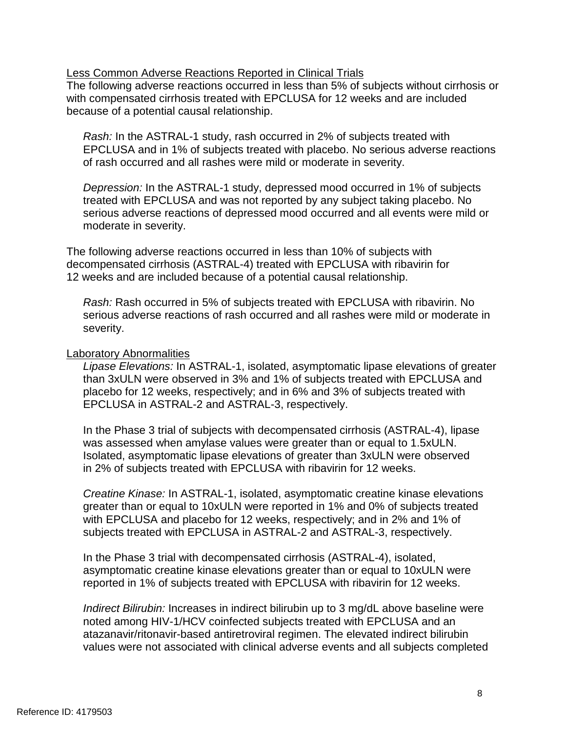### Less Common Adverse Reactions Reported in Clinical Trials

The following adverse reactions occurred in less than 5% of subjects without cirrhosis or with compensated cirrhosis treated with EPCLUSA for 12 weeks and are included because of a potential causal relationship.

*Rash:* In the ASTRAL-1 study, rash occurred in 2% of subjects treated with EPCLUSA and in 1% of subjects treated with placebo. No serious adverse reactions of rash occurred and all rashes were mild or moderate in severity.

*Depression:* In the ASTRAL-1 study, depressed mood occurred in 1% of subjects treated with EPCLUSA and was not reported by any subject taking placebo. No serious adverse reactions of depressed mood occurred and all events were mild or moderate in severity.

The following adverse reactions occurred in less than 10% of subjects with decompensated cirrhosis (ASTRAL-4) treated with EPCLUSA with ribavirin for 12 weeks and are included because of a potential causal relationship.

*Rash:* Rash occurred in 5% of subjects treated with EPCLUSA with ribavirin. No serious adverse reactions of rash occurred and all rashes were mild or moderate in severity.

### Laboratory Abnormalities

 than 3xULN were observed in 3% and 1% of subjects treated with EPCLUSA and placebo for 12 weeks, respectively; and in 6% and 3% of subjects treated with *Lipase Elevations:* In ASTRAL-1, isolated, asymptomatic lipase elevations of greater EPCLUSA in ASTRAL-2 and ASTRAL-3, respectively.

In the Phase 3 trial of subjects with decompensated cirrhosis (ASTRAL-4), lipase was assessed when amylase values were greater than or equal to 1.5xULN. Isolated, asymptomatic lipase elevations of greater than 3xULN were observed in 2% of subjects treated with EPCLUSA with ribavirin for 12 weeks.

*Creatine Kinase:* In ASTRAL-1, isolated, asymptomatic creatine kinase elevations greater than or equal to 10xULN were reported in 1% and 0% of subjects treated with EPCLUSA and placebo for 12 weeks, respectively; and in 2% and 1% of subjects treated with EPCLUSA in ASTRAL-2 and ASTRAL-3, respectively.

In the Phase 3 trial with decompensated cirrhosis (ASTRAL-4), isolated, asymptomatic creatine kinase elevations greater than or equal to 10xULN were reported in 1% of subjects treated with EPCLUSA with ribavirin for 12 weeks.

*Indirect Bilirubin:* Increases in indirect bilirubin up to 3 mg/dL above baseline were noted among HIV-1/HCV coinfected subjects treated with EPCLUSA and an atazanavir/ritonavir-based antiretroviral regimen. The elevated indirect bilirubin values were not associated with clinical adverse events and all subjects completed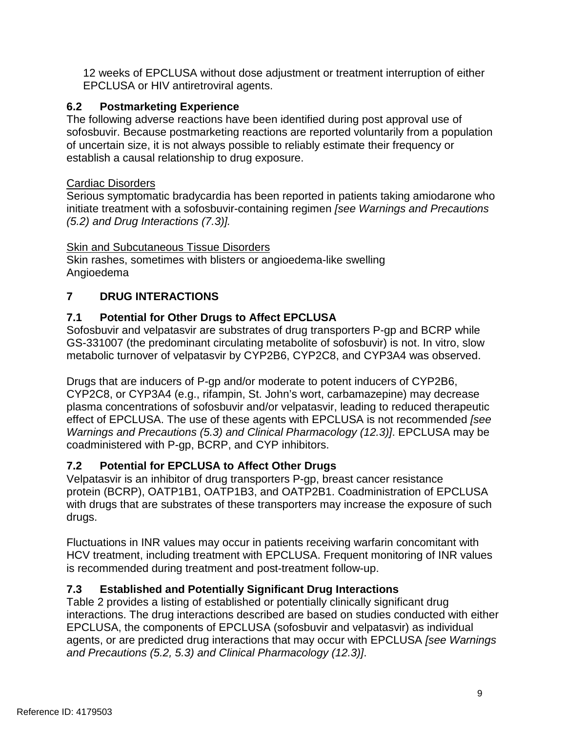12 weeks of EPCLUSA without dose adjustment or treatment interruption of either EPCLUSA or HIV antiretroviral agents.

# **6.2 Postmarketing Experience**

 of uncertain size, it is not always possible to reliably estimate their frequency or The following adverse reactions have been identified during post approval use of sofosbuvir. Because postmarketing reactions are reported voluntarily from a population establish a causal relationship to drug exposure.

# Cardiac Disorders

Serious symptomatic bradycardia has been reported in patients taking amiodarone who initiate treatment with a sofosbuvir-containing regimen *[see Warnings and Precautions (5.2) and Drug Interactions (7.3)].* 

# **Skin and Subcutaneous Tissue Disorders**

Skin rashes, sometimes with blisters or angioedema-like swelling Angioedema

# **7 DRUG INTERACTIONS**

# **7.1 Potential for Other Drugs to Affect EPCLUSA**

 Sofosbuvir and velpatasvir are substrates of drug transporters P-gp and BCRP while GS-331007 (the predominant circulating metabolite of sofosbuvir) is not. In vitro, slow metabolic turnover of velpatasvir by CYP2B6, CYP2C8, and CYP3A4 was observed.

Drugs that are inducers of P-gp and/or moderate to potent inducers of CYP2B6, CYP2C8, or CYP3A4 (e.g., rifampin, St. John's wort, carbamazepine) may decrease plasma concentrations of sofosbuvir and/or velpatasvir, leading to reduced therapeutic effect of EPCLUSA. The use of these agents with EPCLUSA is not recommended *[see Warnings and Precautions (5.3) and Clinical Pharmacology (12.3)]*. EPCLUSA may be coadministered with P-gp, BCRP, and CYP inhibitors.

# **7.2 Potential for EPCLUSA to Affect Other Drugs**

 protein (BCRP), OATP1B1, OATP1B3, and OATP2B1. Coadministration of EPCLUSA Velpatasvir is an inhibitor of drug transporters P-gp, breast cancer resistance with drugs that are substrates of these transporters may increase the exposure of such drugs.

Fluctuations in INR values may occur in patients receiving warfarin concomitant with HCV treatment, including treatment with EPCLUSA. Frequent monitoring of INR values is recommended during treatment and post-treatment follow-up.

# **7.3 Established and Potentially Significant Drug Interactions**

 Table 2 provides a listing of established or potentially clinically significant drug interactions. The drug interactions described are based on studies conducted with either EPCLUSA, the components of EPCLUSA (sofosbuvir and velpatasvir) as individual agents, or are predicted drug interactions that may occur with EPCLUSA *[see Warnings and Precautions (5.2, 5.3) and Clinical Pharmacology (12.3)]*.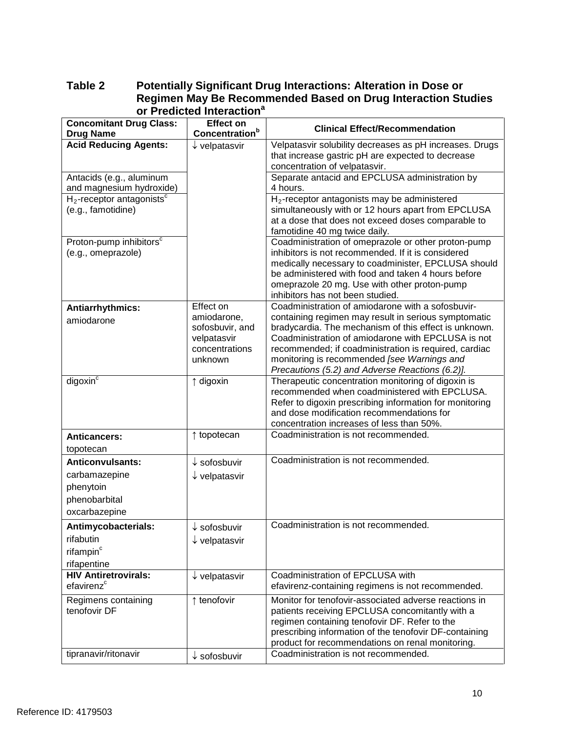|                                                                                         | וריאומוניסט וווני                                                                       |                                                                                                                                                                                                                                                                                                                                                                                     |
|-----------------------------------------------------------------------------------------|-----------------------------------------------------------------------------------------|-------------------------------------------------------------------------------------------------------------------------------------------------------------------------------------------------------------------------------------------------------------------------------------------------------------------------------------------------------------------------------------|
| <b>Concomitant Drug Class:</b><br><b>Drug Name</b>                                      | <b>Effect on</b><br>Concentration <sup>b</sup>                                          | <b>Clinical Effect/Recommendation</b>                                                                                                                                                                                                                                                                                                                                               |
| <b>Acid Reducing Agents:</b>                                                            | $\downarrow$ velpatasvir                                                                | Velpatasvir solubility decreases as pH increases. Drugs<br>that increase gastric pH are expected to decrease<br>concentration of velpatasvir.                                                                                                                                                                                                                                       |
| Antacids (e.g., aluminum<br>and magnesium hydroxide)                                    |                                                                                         | Separate antacid and EPCLUSA administration by<br>4 hours.                                                                                                                                                                                                                                                                                                                          |
| $H_2$ -receptor antagonists <sup>c</sup><br>(e.g., famotidine)                          |                                                                                         | H <sub>2</sub> -receptor antagonists may be administered<br>simultaneously with or 12 hours apart from EPCLUSA<br>at a dose that does not exceed doses comparable to<br>famotidine 40 mg twice daily.                                                                                                                                                                               |
| Proton-pump inhibitors <sup>c</sup><br>(e.g., omeprazole)                               |                                                                                         | Coadministration of omeprazole or other proton-pump<br>inhibitors is not recommended. If it is considered<br>medically necessary to coadminister, EPCLUSA should<br>be administered with food and taken 4 hours before<br>omeprazole 20 mg. Use with other proton-pump<br>inhibitors has not been studied.                                                                          |
| Antiarrhythmics:<br>amiodarone                                                          | Effect on<br>amiodarone,<br>sofosbuvir, and<br>velpatasvir<br>concentrations<br>unknown | Coadministration of amiodarone with a sofosbuvir-<br>containing regimen may result in serious symptomatic<br>bradycardia. The mechanism of this effect is unknown.<br>Coadministration of amiodarone with EPCLUSA is not<br>recommended; if coadministration is required, cardiac<br>monitoring is recommended [see Warnings and<br>Precautions (5.2) and Adverse Reactions (6.2)]. |
| digoxin <sup>c</sup>                                                                    | ↑ digoxin                                                                               | Therapeutic concentration monitoring of digoxin is<br>recommended when coadministered with EPCLUSA.<br>Refer to digoxin prescribing information for monitoring<br>and dose modification recommendations for<br>concentration increases of less than 50%.                                                                                                                            |
| <b>Anticancers:</b><br>topotecan                                                        | ↑ topotecan                                                                             | Coadministration is not recommended.                                                                                                                                                                                                                                                                                                                                                |
| <b>Anticonvulsants:</b><br>carbamazepine<br>phenytoin<br>phenobarbital<br>oxcarbazepine | $\downarrow$ sofosbuvir<br>$\downarrow$ velpatasvir                                     | Coadministration is not recommended.                                                                                                                                                                                                                                                                                                                                                |
| Antimycobacterials:<br>rifabutin<br>rifampin <sup>c</sup><br>rifapentine                | sofosbuvir<br>$\downarrow$ velpatasvir                                                  | Coadministration is not recommended.                                                                                                                                                                                                                                                                                                                                                |
| <b>HIV Antiretrovirals:</b><br>efavirenz <sup>c</sup>                                   | $\downarrow$ velpatasvir                                                                | Coadministration of EPCLUSA with<br>efavirenz-containing regimens is not recommended.                                                                                                                                                                                                                                                                                               |
| Regimens containing<br>tenofovir DF                                                     | ↑ tenofovir                                                                             | Monitor for tenofovir-associated adverse reactions in<br>patients receiving EPCLUSA concomitantly with a<br>regimen containing tenofovir DF. Refer to the<br>prescribing information of the tenofovir DF-containing<br>product for recommendations on renal monitoring.                                                                                                             |
| tipranavir/ritonavir                                                                    | $\downarrow$ sofosbuvir                                                                 | Coadministration is not recommended.                                                                                                                                                                                                                                                                                                                                                |

## **Table 2 Potentially Significant Drug Interactions: Alteration in Dose or Regimen May Be Recommended Based on Drug Interaction Studies or Predicted Interaction<sup>a</sup>**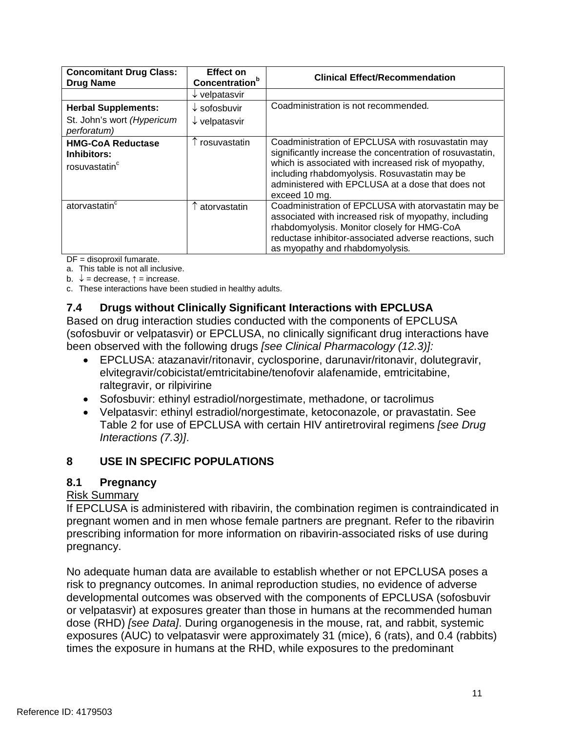| <b>Concomitant Drug Class:</b><br><b>Drug Name</b>                   | <b>Effect on</b><br><b>Concentration</b> <sup>b</sup> | <b>Clinical Effect/Recommendation</b>                                                                                                                                                                                                                                                         |
|----------------------------------------------------------------------|-------------------------------------------------------|-----------------------------------------------------------------------------------------------------------------------------------------------------------------------------------------------------------------------------------------------------------------------------------------------|
|                                                                      | $\downarrow$ velpatasvir                              |                                                                                                                                                                                                                                                                                               |
| <b>Herbal Supplements:</b>                                           | $\downarrow$ sofosbuvir                               | Coadministration is not recommended.                                                                                                                                                                                                                                                          |
| St. John's wort (Hypericum<br>perforatum)                            | $\downarrow$ velpatasvir                              |                                                                                                                                                                                                                                                                                               |
| <b>HMG-CoA Reductase</b><br>Inhibitors:<br>rosuvastatin <sup>c</sup> | rosuvastatin                                          | Coadministration of EPCLUSA with rosuvastatin may<br>significantly increase the concentration of rosuvastatin,<br>which is associated with increased risk of myopathy,<br>including rhabdomyolysis. Rosuvastatin may be<br>administered with EPCLUSA at a dose that does not<br>exceed 10 mg. |
| atorvastatin <sup>c</sup>                                            | atorvastatin                                          | Coadministration of EPCLUSA with atorvastatin may be<br>associated with increased risk of myopathy, including<br>rhabdomyolysis. Monitor closely for HMG-CoA<br>reductase inhibitor-associated adverse reactions, such<br>as myopathy and rhabdomyolysis.                                     |

DF = disoproxil fumarate.

a. This table is not all inclusive.

b.  $\downarrow$  = decrease,  $\uparrow$  = increase.

c. These interactions have been studied in healthy adults.

## **7.4 Drugs without Clinically Significant Interactions with EPCLUSA**

Based on drug interaction studies conducted with the components of EPCLUSA (sofosbuvir or velpatasvir) or EPCLUSA, no clinically significant drug interactions have been observed with the following drugs *[see Clinical Pharmacology (12.3)]:* 

- EPCLUSA: atazanavir/ritonavir, cyclosporine, darunavir/ritonavir, dolutegravir, elvitegravir/cobicistat/emtricitabine/tenofovir alafenamide, emtricitabine, raltegravir, or rilpivirine
- Sofosbuvir: ethinyl estradiol/norgestimate, methadone, or tacrolimus
- Velpatasvir: ethinyl estradiol/norgestimate, ketoconazole, or pravastatin. See Table 2 for use of EPCLUSA with certain HIV antiretroviral regimens *[see Drug Interactions (7.3)]*.

# **8 USE IN SPECIFIC POPULATIONS**

## **8.1 Pregnancy**

## Risk Summary

If EPCLUSA is administered with ribavirin, the combination regimen is contraindicated in pregnant women and in men whose female partners are pregnant. Refer to the ribavirin prescribing information for more information on ribavirin-associated risks of use during pregnancy.

 No adequate human data are available to establish whether or not EPCLUSA poses a developmental outcomes was observed with the components of EPCLUSA (sofosbuvir exposures (AUC) to velpatasvir were approximately 31 (mice), 6 (rats), and 0.4 (rabbits) times the exposure in humans at the RHD, while exposures to the predominant risk to pregnancy outcomes. In animal reproduction studies, no evidence of adverse or velpatasvir) at exposures greater than those in humans at the recommended human dose (RHD) *[see Data]*. During organogenesis in the mouse, rat, and rabbit, systemic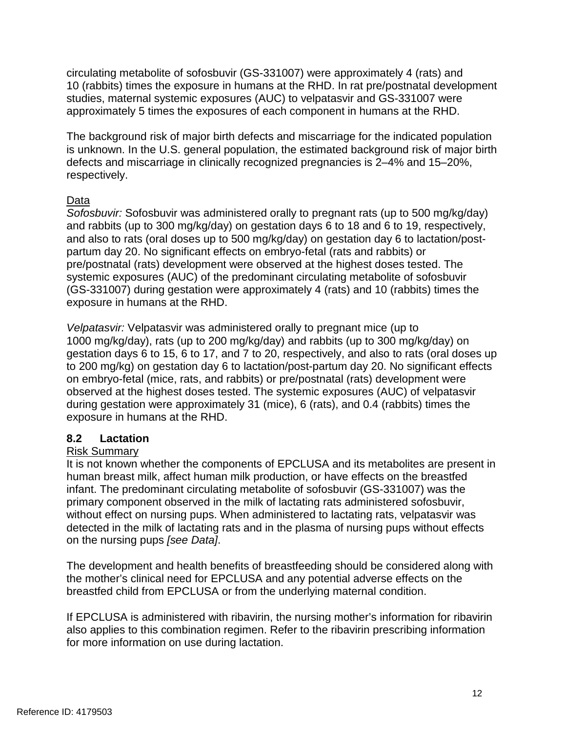circulating metabolite of sofosbuvir (GS-331007) were approximately 4 (rats) and 10 (rabbits) times the exposure in humans at the RHD. In rat pre/postnatal development studies, maternal systemic exposures (AUC) to velpatasvir and GS-331007 were approximately 5 times the exposures of each component in humans at the RHD.

 The background risk of major birth defects and miscarriage for the indicated population is unknown. In the U.S. general population, the estimated background risk of major birth defects and miscarriage in clinically recognized pregnancies is 2–4% and 15–20%, respectively.

## Data

 (GS-331007) during gestation were approximately 4 (rats) and 10 (rabbits) times the *Sofosbuvir:* Sofosbuvir was administered orally to pregnant rats (up to 500 mg/kg/day) and rabbits (up to 300 mg/kg/day) on gestation days 6 to 18 and 6 to 19, respectively, and also to rats (oral doses up to 500 mg/kg/day) on gestation day 6 to lactation/postpartum day 20. No significant effects on embryo-fetal (rats and rabbits) or pre/postnatal (rats) development were observed at the highest doses tested. The systemic exposures (AUC) of the predominant circulating metabolite of sofosbuvir exposure in humans at the RHD.

 gestation days 6 to 15, 6 to 17, and 7 to 20, respectively, and also to rats (oral doses up *Velpatasvir:* Velpatasvir was administered orally to pregnant mice (up to 1000 mg/kg/day), rats (up to 200 mg/kg/day) and rabbits (up to 300 mg/kg/day) on to 200 mg/kg) on gestation day 6 to lactation/post-partum day 20. No significant effects on embryo-fetal (mice, rats, and rabbits) or pre/postnatal (rats) development were observed at the highest doses tested. The systemic exposures (AUC) of velpatasvir during gestation were approximately 31 (mice), 6 (rats), and 0.4 (rabbits) times the exposure in humans at the RHD.

# **8.2 Lactation**

# Risk Summary

 It is not known whether the components of EPCLUSA and its metabolites are present in human breast milk, affect human milk production, or have effects on the breastfed without effect on nursing pups. When administered to lactating rats, velpatasvir was infant. The predominant circulating metabolite of sofosbuvir (GS-331007) was the primary component observed in the milk of lactating rats administered sofosbuvir, detected in the milk of lactating rats and in the plasma of nursing pups without effects on the nursing pups *[see Data]*.

 the mother's clinical need for EPCLUSA and any potential adverse effects on the The development and health benefits of breastfeeding should be considered along with breastfed child from EPCLUSA or from the underlying maternal condition.

If EPCLUSA is administered with ribavirin, the nursing mother's information for ribavirin also applies to this combination regimen. Refer to the ribavirin prescribing information for more information on use during lactation.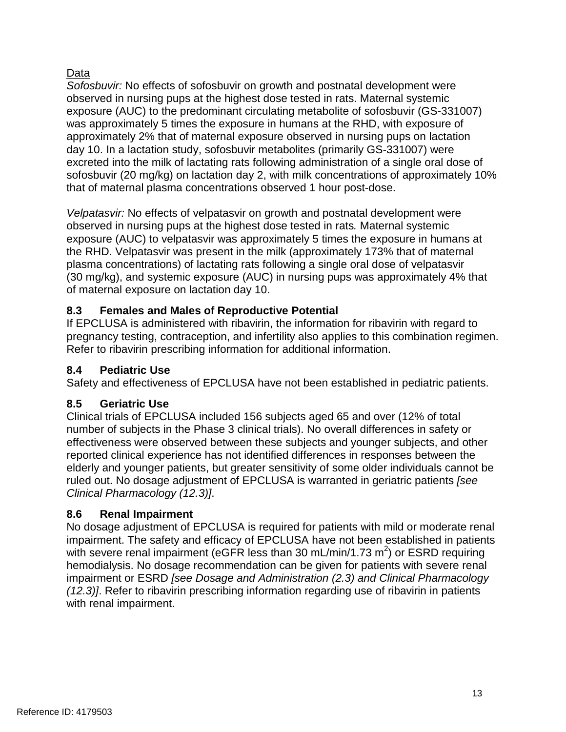# Data

 observed in nursing pups at the highest dose tested in rats. Maternal systemic approximately 2% that of maternal exposure observed in nursing pups on lactation *Sofosbuvir:* No effects of sofosbuvir on growth and postnatal development were exposure (AUC) to the predominant circulating metabolite of sofosbuvir (GS-331007) was approximately 5 times the exposure in humans at the RHD, with exposure of day 10. In a lactation study, sofosbuvir metabolites (primarily GS-331007) were excreted into the milk of lactating rats following administration of a single oral dose of sofosbuvir (20 mg/kg) on lactation day 2, with milk concentrations of approximately 10% that of maternal plasma concentrations observed 1 hour post-dose.

 observed in nursing pups at the highest dose tested in rats*.* Maternal systemic exposure (AUC) to velpatasvir was approximately 5 times the exposure in humans at the RHD. Velpatasvir was present in the milk (approximately 173% that of maternal *Velpatasvir:* No effects of velpatasvir on growth and postnatal development were plasma concentrations) of lactating rats following a single oral dose of velpatasvir (30 mg/kg), and systemic exposure (AUC) in nursing pups was approximately 4% that of maternal exposure on lactation day 10.

# **8.3 Females and Males of Reproductive Potential**

If EPCLUSA is administered with ribavirin, the information for ribavirin with regard to pregnancy testing, contraception, and infertility also applies to this combination regimen. Refer to ribavirin prescribing information for additional information.

# **8.4 Pediatric Use**

Safety and effectiveness of EPCLUSA have not been established in pediatric patients.

# **8.5 Geriatric Use**

Clinical trials of EPCLUSA included 156 subjects aged 65 and over (12% of total number of subjects in the Phase 3 clinical trials). No overall differences in safety or effectiveness were observed between these subjects and younger subjects, and other reported clinical experience has not identified differences in responses between the elderly and younger patients, but greater sensitivity of some older individuals cannot be ruled out. No dosage adjustment of EPCLUSA is warranted in geriatric patients *[see Clinical Pharmacology (12.3)]*.

# **8.6 Renal Impairment**

 hemodialysis. No dosage recommendation can be given for patients with severe renal No dosage adjustment of EPCLUSA is required for patients with mild or moderate renal impairment. The safety and efficacy of EPCLUSA have not been established in patients with severe renal impairment (eGFR less than 30 mL/min/1.73 m<sup>2</sup>) or ESRD requiring impairment or ESRD *[see Dosage and Administration (2.3) and Clinical Pharmacology (12.3)]*. Refer to ribavirin prescribing information regarding use of ribavirin in patients with renal impairment.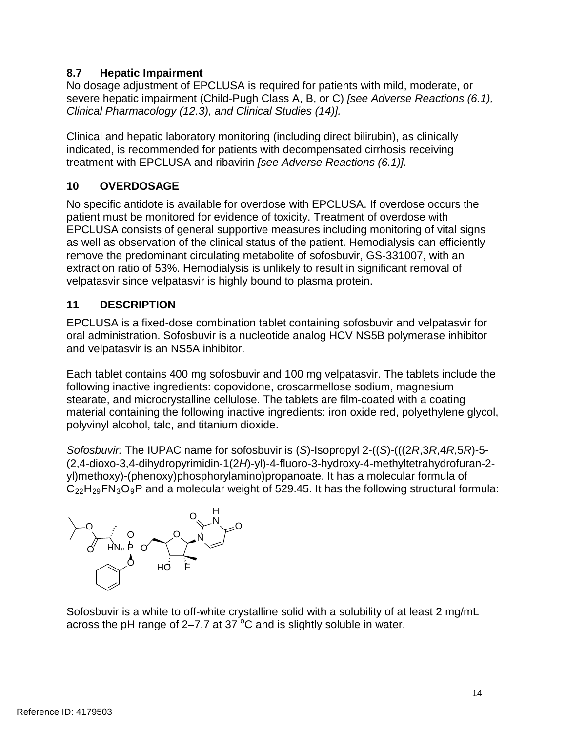# **8.7 Hepatic Impairment**

No dosage adjustment of EPCLUSA is required for patients with mild, moderate, or severe hepatic impairment (Child-Pugh Class A, B, or C) *[see Adverse Reactions (6.1), Clinical Pharmacology (12.3), and Clinical Studies (14)].* 

 indicated, is recommended for patients with decompensated cirrhosis receiving Clinical and hepatic laboratory monitoring (including direct bilirubin), as clinically treatment with EPCLUSA and ribavirin *[see Adverse Reactions (6.1)].* 

# **10 OVERDOSAGE**

 patient must be monitored for evidence of toxicity. Treatment of overdose with EPCLUSA consists of general supportive measures including monitoring of vital signs as well as observation of the clinical status of the patient. Hemodialysis can efficiently No specific antidote is available for overdose with EPCLUSA. If overdose occurs the remove the predominant circulating metabolite of sofosbuvir, GS-331007, with an extraction ratio of 53%. Hemodialysis is unlikely to result in significant removal of velpatasvir since velpatasvir is highly bound to plasma protein.

# **11 DESCRIPTION**

EPCLUSA is a fixed-dose combination tablet containing sofosbuvir and velpatasvir for oral administration. Sofosbuvir is a nucleotide analog HCV NS5B polymerase inhibitor and velpatasvir is an NS5A inhibitor.

 polyvinyl alcohol, talc, and titanium dioxide. Each tablet contains 400 mg sofosbuvir and 100 mg velpatasvir. The tablets include the following inactive ingredients: copovidone, croscarmellose sodium, magnesium stearate, and microcrystalline cellulose. The tablets are film-coated with a coating material containing the following inactive ingredients: iron oxide red, polyethylene glycol,

 $\mathsf{C}_{22}\mathsf{H}_{29}\mathsf{FN}_3\mathsf{O}_9\mathsf{P}$  and a molecular weight of 529.45. It has the following structural formula: *Sofosbuvir:* The IUPAC name for sofosbuvir is (*S*)-Isopropyl 2-((*S*)-(((2*R*,3*R*,4*R*,5*R*)-5 (2,4-dioxo-3,4-dihydropyrimidin-1(2*H*)-yl)-4-fluoro-3-hydroxy-4-methyltetrahydrofuran-2 yl)methoxy)-(phenoxy)phosphorylamino)propanoate. It has a molecular formula of



Sofosbuvir is a white to off-white crystalline solid with a solubility of at least 2 mg/mL across the pH range of 2–7.7 at 37 $\mathrm{^{\circ}C}$  and is slightly soluble in water.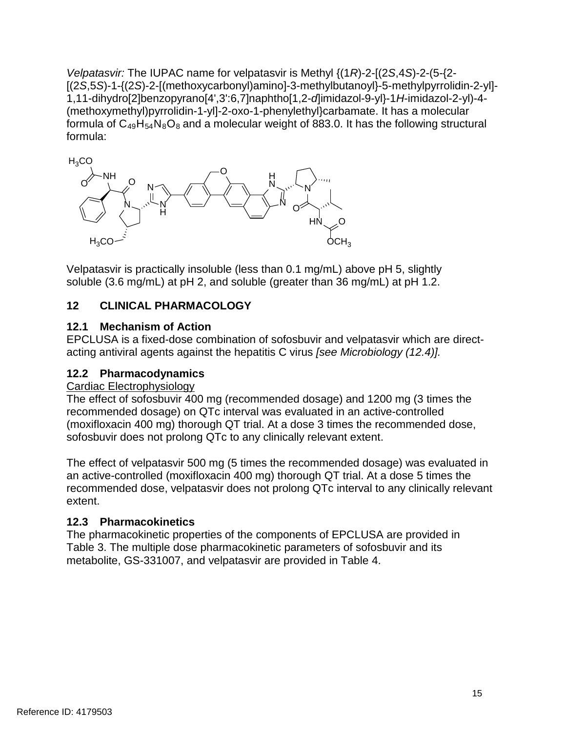formula of  $\mathsf{C}_{49}\mathsf{H}_{54}\mathsf{N}_{8}\mathsf{O}_{8}$  and a molecular weight of 883.0. It has the following structural *Velpatasvir:* The IUPAC name for velpatasvir is Methyl {(1*R*)-2-[(2*S*,4*S*)-2-(5-{2 [(2*S*,5*S*)-1-{(2*S*)-2-[(methoxycarbonyl)amino]-3-methylbutanoyl}-5-methylpyrrolidin-2-yl] 1,11-dihydro[2]benzopyrano[4',3':6,7]naphtho[1,2-*d*]imidazol-9-yl}-1*H*-imidazol-2-yl)-4 (methoxymethyl)pyrrolidin-1-yl]-2-oxo-1-phenylethyl}carbamate. It has a molecular formula:



 Velpatasvir is practically insoluble (less than 0.1 mg/mL) above pH 5, slightly soluble (3.6 mg/mL) at pH 2, and soluble (greater than 36 mg/mL) at pH 1.2.

# **12 CLINICAL PHARMACOLOGY**

# **12.1 Mechanism of Action**

 acting antiviral agents against the hepatitis C virus *[see Microbiology (12.4)].*  EPCLUSA is a fixed-dose combination of sofosbuvir and velpatasvir which are direct-

# **12.2 Pharmacodynamics**

# Cardiac Electrophysiology

The effect of sofosbuvir 400 mg (recommended dosage) and 1200 mg (3 times the recommended dosage) on QTc interval was evaluated in an active-controlled (moxifloxacin 400 mg) thorough QT trial. At a dose 3 times the recommended dose, sofosbuvir does not prolong QTc to any clinically relevant extent.

The effect of velpatasvir 500 mg (5 times the recommended dosage) was evaluated in an active-controlled (moxifloxacin 400 mg) thorough QT trial. At a dose 5 times the recommended dose, velpatasvir does not prolong QTc interval to any clinically relevant extent.

# **12.3 Pharmacokinetics**

The pharmacokinetic properties of the components of EPCLUSA are provided in Table 3. The multiple dose pharmacokinetic parameters of sofosbuvir and its metabolite, GS-331007, and velpatasvir are provided in Table 4.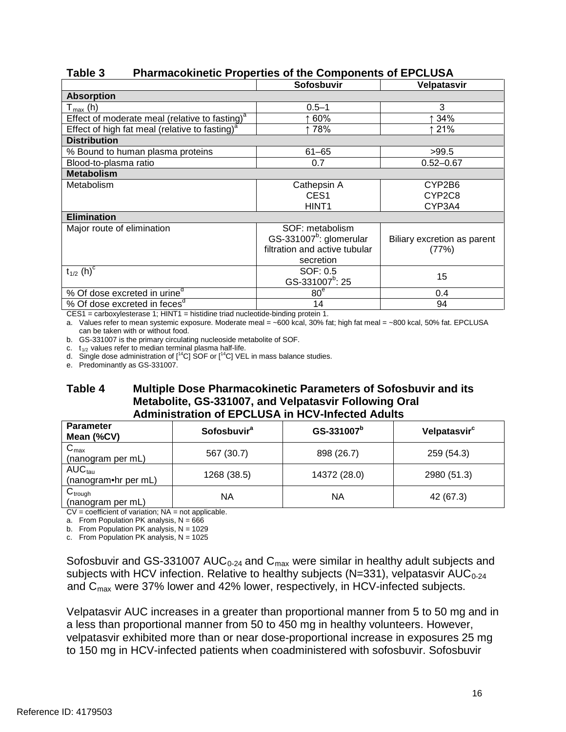|                                                            | Sofosbuvir                          | Velpatasvir                 |
|------------------------------------------------------------|-------------------------------------|-----------------------------|
| <b>Absorption</b>                                          |                                     |                             |
| $T_{\text{max}}$ (h)                                       | $0.5 - 1$                           | 3                           |
| Effect of moderate meal (relative to fasting) <sup>a</sup> | 60%                                 | ↑ 34%                       |
| Effect of high fat meal (relative to fasting) <sup>a</sup> | 78%                                 | ↑ 21%                       |
| <b>Distribution</b>                                        |                                     |                             |
| % Bound to human plasma proteins                           | $61 - 65$                           | >99.5                       |
| Blood-to-plasma ratio                                      | 0.7                                 | $0.52 - 0.67$               |
| <b>Metabolism</b>                                          |                                     |                             |
| Metabolism                                                 | Cathepsin A                         | CYP2B6                      |
|                                                            | CES <sub>1</sub>                    | CYP2C8                      |
|                                                            | HINT <sub>1</sub>                   | CYP3A4                      |
| <b>Elimination</b>                                         |                                     |                             |
| Major route of elimination                                 | SOF: metabolism                     |                             |
|                                                            | GS-331007 <sup>b</sup> : glomerular | Biliary excretion as parent |
|                                                            | filtration and active tubular       | (77%)                       |
|                                                            | secretion                           |                             |
| $t_{1/2}$ (h) <sup>c</sup>                                 | SOF: 0.5                            | 15                          |
|                                                            | GS-331007 <sup>b</sup> : 25         |                             |
| % Of dose excreted in urine <sup>d</sup>                   | 80 <sup>e</sup>                     | 0.4                         |
| % Of dose excreted in feces <sup>d</sup>                   | 14                                  | 94                          |

## **Table 3 Pharmacokinetic Properties of the Components of EPCLUSA**

CES1 = carboxylesterase 1; HINT1 = histidine triad nucleotide-binding protein 1.

a. Values refer to mean systemic exposure. Moderate meal = ~600 kcal, 30% fat; high fat meal = ~800 kcal, 50% fat. EPCLUSA can be taken with or without food.

b. GS-331007 is the primary circulating nucleoside metabolite of SOF.

c.  $t_{1/2}$  values refer to median terminal plasma half-life.

d. Single dose administration of  $[14C]$  SOF or  $[14C]$  VEL in mass balance studies.

e. Predominantly as GS-331007.

### **Table 4 Multiple Dose Pharmacokinetic Parameters of Sofosbuvir and its Metabolite, GS-331007, and Velpatasvir Following Oral Administration of EPCLUSA in HCV-Infected Adults**

| <b>Parameter</b><br>Mean (%CV)        | <b>Sofosbuvir</b> <sup>a</sup> | GS-331007 <sup>b</sup> | Velpatasvir <sup>c</sup> |  |
|---------------------------------------|--------------------------------|------------------------|--------------------------|--|
| $C_{\text{max}}$<br>(nanogram per mL) | 567 (30.7)                     | 898 (26.7)             | 259 (54.3)               |  |
| $AUC_{tau}$<br>(nanogram•hr per mL)   | 1268 (38.5)                    | 14372 (28.0)           | 2980 (51.3)              |  |
| $C_{trough}$<br>(nanogram per mL)     | ΝA                             | ΝA                     | 42 (67.3)                |  |

CV = coefficient of variation; NA = not applicable.

a. From Population PK analysis, N = 666

b. From Population PK analysis, N = 1029

c. From Population PK analysis, N = 1025

Sofosbuvir and GS-331007 AUC<sub>0-24</sub> and C<sub>max</sub> were similar in healthy adult subjects and subjects with HCV infection. Relative to healthy subjects (N=331), velpatasvir AUC<sub>0-24</sub> and C<sub>max</sub> were 37% lower and 42% lower, respectively, in HCV-infected subjects.

 Velpatasvir AUC increases in a greater than proportional manner from 5 to 50 mg and in a less than proportional manner from 50 to 450 mg in healthy volunteers. However, velpatasvir exhibited more than or near dose-proportional increase in exposures 25 mg to 150 mg in HCV-infected patients when coadministered with sofosbuvir. Sofosbuvir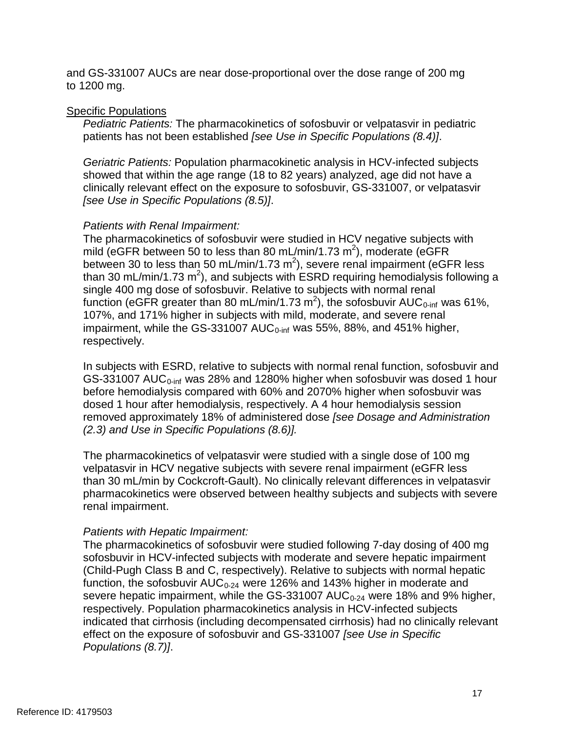to 1200 mg. and GS-331007 AUCs are near dose-proportional over the dose range of 200 mg

### Specific Populations

*Pediatric Patients:* The pharmacokinetics of sofosbuvir or velpatasvir in pediatric patients has not been established *[see Use in Specific Populations (8.4)]*.

*Geriatric Patients:* Population pharmacokinetic analysis in HCV-infected subjects showed that within the age range (18 to 82 years) analyzed, age did not have a clinically relevant effect on the exposure to sofosbuvir, GS-331007, or velpatasvir *[see Use in Specific Populations (8.5)]*.

## *Patients with Renal Impairment:*

The pharmacokinetics of sofosbuvir were studied in HCV negative subjects with mild (eGFR between 50 to less than 80 mL/min/1.73 m<sup>2</sup>), moderate (eGFR between 30 to less than 50 mL/min/1.73 m<sup>2</sup>), severe renal impairment (eGFR less than 30 mL/min/1.73 m<sup>2</sup>), and subjects with ESRD requiring hemodialysis following a single 400 mg dose of sofosbuvir. Relative to subjects with normal renal function (eGFR greater than 80 mL/min/1.73 m<sup>2</sup>), the sofosbuvir AUC<sub>0-inf</sub> was 61%, 107%, and 171% higher in subjects with mild, moderate, and severe renal impairment, while the GS-331007 AUC $_{0\text{-inf}}$  was 55%, 88%, and 451% higher, respectively.

In subjects with ESRD, relative to subjects with normal renal function, sofosbuvir and GS-331007 AUC $_{0\text{-inf}}$  was 28% and 1280% higher when sofosbuvir was dosed 1 hour before hemodialysis compared with 60% and 2070% higher when sofosbuvir was dosed 1 hour after hemodialysis, respectively. A 4 hour hemodialysis session removed approximately 18% of administered dose *[see Dosage and Administration (2.3) and Use in Specific Populations (8.6)].* 

The pharmacokinetics of velpatasvir were studied with a single dose of 100 mg velpatasvir in HCV negative subjects with severe renal impairment (eGFR less than 30 mL/min by Cockcroft-Gault). No clinically relevant differences in velpatasvir pharmacokinetics were observed between healthy subjects and subjects with severe renal impairment.

## *Patients with Hepatic Impairment:*

 The pharmacokinetics of sofosbuvir were studied following 7-day dosing of 400 mg severe hepatic impairment, while the GS-331007 AUC<sub>0-24</sub> were 18% and 9% higher, sofosbuvir in HCV-infected subjects with moderate and severe hepatic impairment (Child-Pugh Class B and C, respectively). Relative to subjects with normal hepatic function, the sofosbuvir  $AUC_{0-24}$  were 126% and 143% higher in moderate and respectively. Population pharmacokinetics analysis in HCV-infected subjects indicated that cirrhosis (including decompensated cirrhosis) had no clinically relevant effect on the exposure of sofosbuvir and GS-331007 *[see Use in Specific Populations (8.7)]*.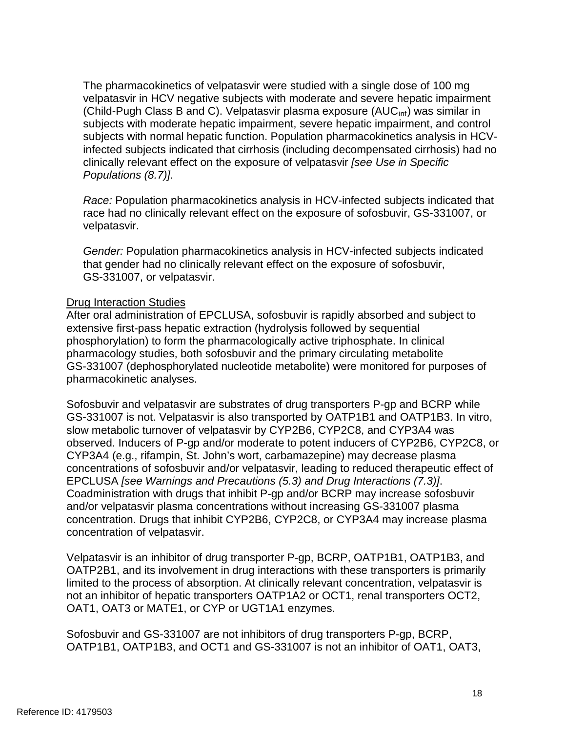subjects with moderate hepatic impairment, severe hepatic impairment, and control subjects with normal hepatic function. Population pharmacokinetics analysis in HCV-The pharmacokinetics of velpatasvir were studied with a single dose of 100 mg velpatasvir in HCV negative subjects with moderate and severe hepatic impairment (Child-Pugh Class B and C). Velpatasvir plasma exposure  $(AUC<sub>inf</sub>)$  was similar in infected subjects indicated that cirrhosis (including decompensated cirrhosis) had no clinically relevant effect on the exposure of velpatasvir *[see Use in Specific Populations (8.7)]*.

*Race:* Population pharmacokinetics analysis in HCV-infected subjects indicated that race had no clinically relevant effect on the exposure of sofosbuvir, GS-331007, or velpatasvir.

*Gender:* Population pharmacokinetics analysis in HCV-infected subjects indicated that gender had no clinically relevant effect on the exposure of sofosbuvir, GS-331007, or velpatasvir.

### Drug Interaction Studies

After oral administration of EPCLUSA, sofosbuvir is rapidly absorbed and subject to extensive first-pass hepatic extraction (hydrolysis followed by sequential phosphorylation) to form the pharmacologically active triphosphate. In clinical pharmacology studies, both sofosbuvir and the primary circulating metabolite GS-331007 (dephosphorylated nucleotide metabolite) were monitored for purposes of pharmacokinetic analyses.

 observed. Inducers of P-gp and/or moderate to potent inducers of CYP2B6, CYP2C8, or concentrations of sofosbuvir and/or velpatasvir, leading to reduced therapeutic effect of Sofosbuvir and velpatasvir are substrates of drug transporters P-gp and BCRP while GS-331007 is not. Velpatasvir is also transported by OATP1B1 and OATP1B3. In vitro, slow metabolic turnover of velpatasvir by CYP2B6, CYP2C8, and CYP3A4 was CYP3A4 (e.g., rifampin, St. John's wort, carbamazepine) may decrease plasma EPCLUSA *[see Warnings and Precautions (5.3) and Drug Interactions (7.3)]*. Coadministration with drugs that inhibit P-gp and/or BCRP may increase sofosbuvir and/or velpatasvir plasma concentrations without increasing GS-331007 plasma concentration. Drugs that inhibit CYP2B6, CYP2C8, or CYP3A4 may increase plasma concentration of velpatasvir.

 not an inhibitor of hepatic transporters OATP1A2 or OCT1, renal transporters OCT2, Velpatasvir is an inhibitor of drug transporter P-gp, BCRP, OATP1B1, OATP1B3, and OATP2B1, and its involvement in drug interactions with these transporters is primarily limited to the process of absorption. At clinically relevant concentration, velpatasvir is OAT1, OAT3 or MATE1, or CYP or UGT1A1 enzymes.

Sofosbuvir and GS-331007 are not inhibitors of drug transporters P-gp, BCRP, OATP1B1, OATP1B3, and OCT1 and GS-331007 is not an inhibitor of OAT1, OAT3,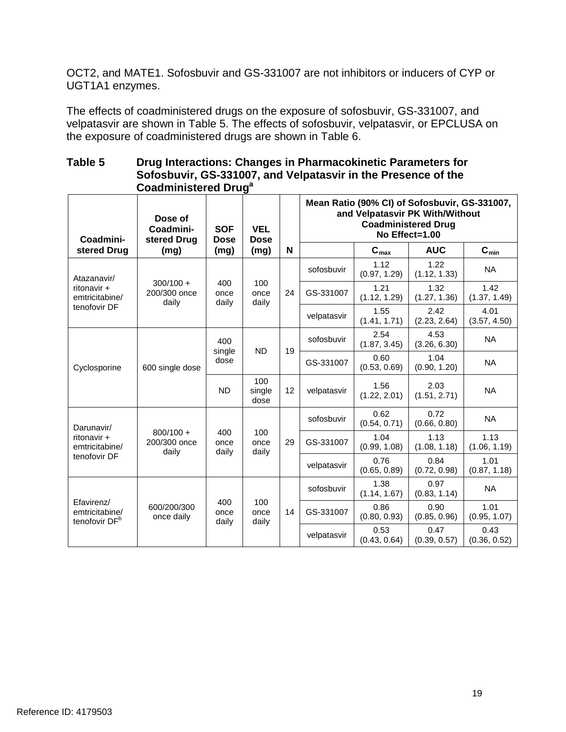OCT2, and MATE1. Sofosbuvir and GS-331007 are not inhibitors or inducers of CYP or UGT1A1 enzymes.

 velpatasvir are shown in Table 5. The effects of sofosbuvir, velpatasvir, or EPCLUSA on The effects of coadministered drugs on the exposure of sofosbuvir, GS-331007, and the exposure of coadministered drugs are shown in Table 6.

### **Table 5 Drug Interactions: Changes in Pharmacokinetic Parameters for Sofosbuvir, GS-331007, and Velpatasvir in the Presence of the Coadministered Druga**

| Coadmini-                                                 | Dose of<br>Coadmini-<br>stered Drug  | <b>SOF</b><br><b>Dose</b> | <b>VEL</b><br><b>Dose</b> |    |             |                      | Mean Ratio (90% CI) of Sofosbuvir, GS-331007,<br>and Velpatasvir PK With/Without<br><b>Coadministered Drug</b><br>No Effect=1.00 |                           |  |  |
|-----------------------------------------------------------|--------------------------------------|---------------------------|---------------------------|----|-------------|----------------------|----------------------------------------------------------------------------------------------------------------------------------|---------------------------|--|--|
| stered Drug                                               | (mg)                                 | (mg)                      | (mg)                      | N  |             | $C_{max}$            | <b>AUC</b>                                                                                                                       | $\mathbf{C}_{\text{min}}$ |  |  |
| Atazanavir/                                               |                                      |                           |                           |    | sofosbuvir  | 1.12<br>(0.97, 1.29) | 1.22<br>(1.12, 1.33)                                                                                                             | <b>NA</b>                 |  |  |
| ritonavir +<br>emtricitabine/                             | $300/100 +$<br>200/300 once<br>daily | 400<br>once<br>daily      | 100<br>once<br>daily      | 24 | GS-331007   | 1.21<br>(1.12, 1.29) | 1.32<br>(1.27, 1.36)                                                                                                             | 1.42<br>(1.37, 1.49)      |  |  |
| tenofovir DF                                              |                                      |                           |                           |    | velpatasvir | 1.55<br>(1.41, 1.71) | 2.42<br>(2.23, 2.64)                                                                                                             | 4.01<br>(3.57, 4.50)      |  |  |
| Cyclosporine                                              | 600 single dose                      | 400<br>single<br>dose     | <b>ND</b>                 | 19 | sofosbuvir  | 2.54<br>(1.87, 3.45) | 4.53<br>(3.26, 6.30)                                                                                                             | <b>NA</b>                 |  |  |
|                                                           |                                      |                           |                           |    | GS-331007   | 0.60<br>(0.53, 0.69) | 1.04<br>(0.90, 1.20)                                                                                                             | <b>NA</b>                 |  |  |
|                                                           |                                      | <b>ND</b>                 | 100<br>single<br>dose     | 12 | velpatasvir | 1.56<br>(1.22, 2.01) | 2.03<br>(1.51, 2.71)                                                                                                             | <b>NA</b>                 |  |  |
| Darunavir/                                                |                                      | 400<br>once<br>daily      | 100<br>once<br>daily      |    | sofosbuvir  | 0.62<br>(0.54, 0.71) | 0.72<br>(0.66, 0.80)                                                                                                             | <b>NA</b>                 |  |  |
| ritonavir +<br>emtricitabine/                             | $800/100 +$<br>200/300 once<br>daily |                           |                           | 29 | GS-331007   | 1.04<br>(0.99, 1.08) | 1.13<br>(1.08, 1.18)                                                                                                             | 1.13<br>(1.06, 1.19)      |  |  |
| tenofovir DF                                              |                                      |                           |                           |    | velpatasvir | 0.76<br>(0.65, 0.89) | 0.84<br>(0.72, 0.98)                                                                                                             | 1.01<br>(0.87, 1.18)      |  |  |
| Efavirenz/<br>emtricitabine/<br>tenofovir DF <sup>b</sup> |                                      |                           |                           |    | sofosbuvir  | 1.38<br>(1.14, 1.67) | 0.97<br>(0.83, 1.14)                                                                                                             | <b>NA</b>                 |  |  |
|                                                           | 600/200/300<br>once daily            | 400<br>once<br>daily      | 100<br>once<br>daily      | 14 | GS-331007   | 0.86<br>(0.80, 0.93) | 0.90<br>(0.85, 0.96)                                                                                                             | 1.01<br>(0.95, 1.07)      |  |  |
|                                                           |                                      |                           |                           |    | velpatasvir | 0.53<br>(0.43, 0.64) | 0.47<br>(0.39, 0.57)                                                                                                             | 0.43<br>(0.36, 0.52)      |  |  |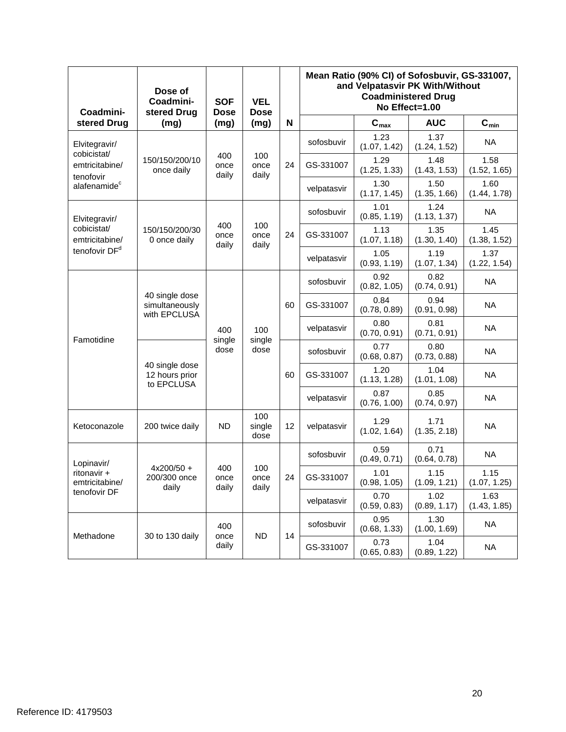| Coadmini-                     | Dose of<br>Coadmini-<br>stered Drug              | <b>SOF</b><br><b>Dose</b> | <b>VEL</b><br><b>Dose</b> |    | Mean Ratio (90% CI) of Sofosbuvir, GS-331007,<br>and Velpatasvir PK With/Without<br><b>Coadministered Drug</b><br>No Effect=1.00 |                      |                      |                           |
|-------------------------------|--------------------------------------------------|---------------------------|---------------------------|----|----------------------------------------------------------------------------------------------------------------------------------|----------------------|----------------------|---------------------------|
| stered Drug                   | (mg)                                             | (mg)                      | (mg)                      | N  |                                                                                                                                  | $C_{max}$            | <b>AUC</b>           | $\mathbf{C}_{\text{min}}$ |
| Elvitegravir/<br>cobicistat/  |                                                  |                           |                           |    | sofosbuvir                                                                                                                       | 1.23<br>(1.07, 1.42) | 1.37<br>(1.24, 1.52) | <b>NA</b>                 |
| emtricitabine/<br>tenofovir   | 150/150/200/10<br>once daily                     | 400<br>once<br>daily      | 100<br>once<br>daily      | 24 | GS-331007                                                                                                                        | 1.29<br>(1.25, 1.33) | 1.48<br>(1.43, 1.53) | 1.58<br>(1.52, 1.65)      |
| alafenamide <sup>c</sup>      |                                                  |                           |                           |    | velpatasvir                                                                                                                      | 1.30<br>(1.17, 1.45) | 1.50<br>(1.35, 1.66) | 1.60<br>(1.44, 1.78)      |
| Elvitegravir/                 |                                                  |                           |                           |    | sofosbuvir                                                                                                                       | 1.01<br>(0.85, 1.19) | 1.24<br>(1.13, 1.37) | <b>NA</b>                 |
| cobicistat/<br>emtricitabine/ | 150/150/200/30<br>0 once daily                   | 400<br>once<br>daily      | 100<br>once<br>daily      | 24 | GS-331007                                                                                                                        | 1.13<br>(1.07, 1.18) | 1.35<br>(1.30, 1.40) | 1.45<br>(1.38, 1.52)      |
| tenofovir DF <sup>d</sup>     |                                                  |                           |                           |    | velpatasvir                                                                                                                      | 1.05<br>(0.93, 1.19) | 1.19<br>(1.07, 1.34) | 1.37<br>(1.22, 1.54)      |
|                               |                                                  | 400<br>single<br>dose     |                           |    | sofosbuvir                                                                                                                       | 0.92<br>(0.82, 1.05) | 0.82<br>(0.74, 0.91) | <b>NA</b>                 |
|                               | 40 single dose<br>simultaneously<br>with EPCLUSA |                           | 100<br>single<br>dose     | 60 | GS-331007                                                                                                                        | 0.84<br>(0.78, 0.89) | 0.94<br>(0.91, 0.98) | <b>NA</b>                 |
|                               |                                                  |                           |                           |    | velpatasvir                                                                                                                      | 0.80<br>(0.70, 0.91) | 0.81<br>(0.71, 0.91) | <b>NA</b>                 |
| Famotidine                    | 40 single dose<br>12 hours prior<br>to EPCLUSA   |                           |                           | 60 | sofosbuvir                                                                                                                       | 0.77<br>(0.68, 0.87) | 0.80<br>(0.73, 0.88) | <b>NA</b>                 |
|                               |                                                  |                           |                           |    | GS-331007                                                                                                                        | 1.20<br>(1.13, 1.28) | 1.04<br>(1.01, 1.08) | <b>NA</b>                 |
|                               |                                                  |                           |                           |    | velpatasvir                                                                                                                      | 0.87<br>(0.76, 1.00) | 0.85<br>(0.74, 0.97) | <b>NA</b>                 |
| Ketoconazole                  | 200 twice daily                                  | <b>ND</b>                 | 100<br>single<br>dose     | 12 | velpatasvir                                                                                                                      | 1.29<br>(1.02, 1.64) | 1.71<br>(1.35, 2.18) | <b>NA</b>                 |
| Lopinavir/                    |                                                  |                           |                           |    | sofosbuvir                                                                                                                       | 0.59<br>(0.49, 0.71) | 0.71<br>(0.64, 0.78) | <b>NA</b>                 |
| ritonavir +<br>emtricitabine/ | $4x200/50 +$<br>200/300 once<br>daily            | 400<br>once<br>daily      | 100<br>once<br>daily      | 24 | GS-331007                                                                                                                        | 1.01<br>(0.98, 1.05) | 1.15<br>(1.09, 1.21) | 1.15<br>(1.07, 1.25)      |
| tenofovir DF                  |                                                  |                           |                           |    | velpatasvir                                                                                                                      | 0.70<br>(0.59, 0.83) | 1.02<br>(0.89, 1.17) | 1.63<br>(1.43, 1.85)      |
|                               |                                                  | 400                       |                           |    | sofosbuvir                                                                                                                       | 0.95<br>(0.68, 1.33) | 1.30<br>(1.00, 1.69) | <b>NA</b>                 |
| Methadone                     | 30 to 130 daily                                  | once<br>daily             | <b>ND</b>                 | 14 | GS-331007                                                                                                                        | 0.73<br>(0.65, 0.83) | 1.04<br>(0.89, 1.22) | <b>NA</b>                 |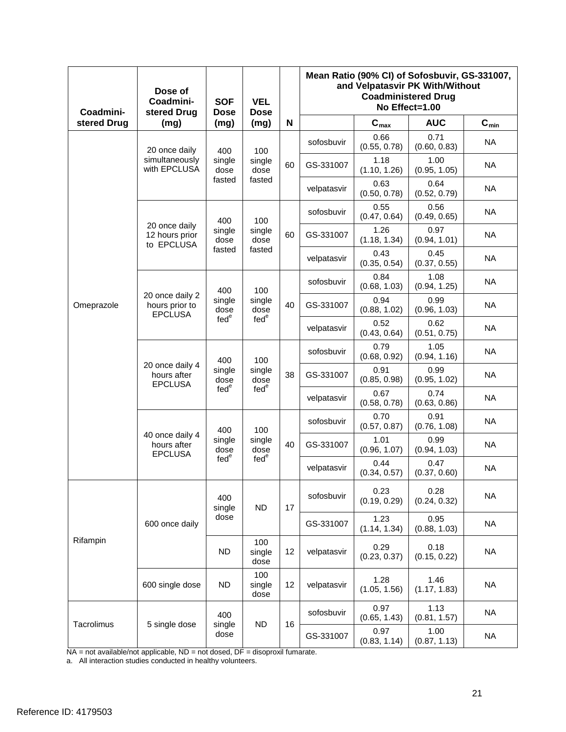| Coadmini-   | Dose of<br>Coadmini-<br>stered Drug                 | <b>SOF</b><br><b>Dose</b>                 | <b>VEL</b><br><b>Dose</b>                 |    | Mean Ratio (90% CI) of Sofosbuvir, GS-331007,<br>and Velpatasvir PK With/Without<br><b>Coadministered Drug</b><br>No Effect=1.00 |                      |                      |           |
|-------------|-----------------------------------------------------|-------------------------------------------|-------------------------------------------|----|----------------------------------------------------------------------------------------------------------------------------------|----------------------|----------------------|-----------|
| stered Drug | (mg)                                                | (mg)                                      | (mg)                                      | N  |                                                                                                                                  | $C_{max}$            | <b>AUC</b>           | $C_{min}$ |
|             | 20 once daily                                       | 400                                       | 100                                       |    | sofosbuvir                                                                                                                       | 0.66<br>(0.55, 0.78) | 0.71<br>(0.60, 0.83) | <b>NA</b> |
|             | simultaneously<br>with EPCLUSA                      | single<br>dose                            | single<br>dose                            | 60 | GS-331007                                                                                                                        | 1.18<br>(1.10, 1.26) | 1.00<br>(0.95, 1.05) | <b>NA</b> |
|             |                                                     | fasted                                    | fasted                                    |    | velpatasvir                                                                                                                      | 0.63<br>(0.50, 0.78) | 0.64<br>(0.52, 0.79) | <b>NA</b> |
|             |                                                     | 400                                       | 100                                       |    | sofosbuvir                                                                                                                       | 0.55<br>(0.47, 0.64) | 0.56<br>(0.49, 0.65) | <b>NA</b> |
|             | 20 once daily<br>12 hours prior<br>to EPCLUSA       | single<br>dose                            | single<br>dose                            | 60 | GS-331007                                                                                                                        | 1.26<br>(1.18, 1.34) | 0.97<br>(0.94, 1.01) | <b>NA</b> |
|             |                                                     | fasted                                    | fasted                                    |    | velpatasvir                                                                                                                      | 0.43<br>(0.35, 0.54) | 0.45<br>(0.37, 0.55) | <b>NA</b> |
|             |                                                     | 400                                       | 100                                       |    | sofosbuvir                                                                                                                       | 0.84<br>(0.68, 1.03) | 1.08<br>(0.94, 1.25) | <b>NA</b> |
| Omeprazole  | 20 once daily 2<br>hours prior to<br><b>EPCLUSA</b> | single<br>dose<br>fed <sup>e</sup>        | single<br>dose                            | 40 | GS-331007                                                                                                                        | 0.94<br>(0.88, 1.02) | 0.99<br>(0.96, 1.03) | <b>NA</b> |
|             |                                                     |                                           | fed <sup>e</sup>                          |    | velpatasvir                                                                                                                      | 0.52<br>(0.43, 0.64) | 0.62<br>(0.51, 0.75) | <b>NA</b> |
|             | 20 once daily 4<br>hours after<br><b>EPCLUSA</b>    | 400<br>single<br>dose<br>fed <sup>e</sup> | 100<br>single<br>dose<br>fed <sup>e</sup> |    | sofosbuvir                                                                                                                       | 0.79<br>(0.68, 0.92) | 1.05<br>(0.94, 1.16) | <b>NA</b> |
|             |                                                     |                                           |                                           | 38 | GS-331007                                                                                                                        | 0.91<br>(0.85, 0.98) | 0.99<br>(0.95, 1.02) | <b>NA</b> |
|             |                                                     |                                           |                                           |    | velpatasvir                                                                                                                      | 0.67<br>(0.58, 0.78) | 0.74<br>(0.63, 0.86) | <b>NA</b> |
|             |                                                     | 400<br>single<br>dose<br>fed <sup>e</sup> | 100<br>single<br>dose<br>fed <sup>e</sup> | 40 | sofosbuvir                                                                                                                       | 0.70<br>(0.57, 0.87) | 0.91<br>(0.76, 1.08) | <b>NA</b> |
|             | 40 once daily 4<br>hours after<br><b>EPCLUSA</b>    |                                           |                                           |    | GS-331007                                                                                                                        | 1.01<br>(0.96, 1.07) | 0.99<br>(0.94, 1.03) | <b>NA</b> |
|             |                                                     |                                           |                                           |    | velpatasvir                                                                                                                      | 0.44<br>(0.34, 0.57) | 0.47<br>(0.37, 0.60) | <b>NA</b> |
|             |                                                     | 400<br>single                             | <b>ND</b>                                 | 17 | sofosbuvir                                                                                                                       | 0.23<br>(0.19, 0.29) | 0.28<br>(0.24, 0.32) | <b>NA</b> |
|             | 600 once daily                                      | dose                                      |                                           |    | GS-331007                                                                                                                        | 1.23<br>(1.14, 1.34) | 0.95<br>(0.88, 1.03) | <b>NA</b> |
| Rifampin    |                                                     | <b>ND</b>                                 | 100<br>single<br>dose                     | 12 | velpatasvir                                                                                                                      | 0.29<br>(0.23, 0.37) | 0.18<br>(0.15, 0.22) | <b>NA</b> |
|             | 600 single dose                                     | <b>ND</b>                                 | 100<br>single<br>dose                     | 12 | velpatasvir                                                                                                                      | 1.28<br>(1.05, 1.56) | 1.46<br>(1.17, 1.83) | <b>NA</b> |
|             |                                                     | 400                                       |                                           |    | sofosbuvir                                                                                                                       | 0.97<br>(0.65, 1.43) | 1.13<br>(0.81, 1.57) | <b>NA</b> |
| Tacrolimus  | 5 single dose                                       | single<br>dose                            | <b>ND</b>                                 | 16 | GS-331007                                                                                                                        | 0.97<br>(0.83, 1.14) | 1.00<br>(0.87, 1.13) | <b>NA</b> |

NA = not available/not applicable, ND = not dosed, DF = disoproxil fumarate.

a. All interaction studies conducted in healthy volunteers.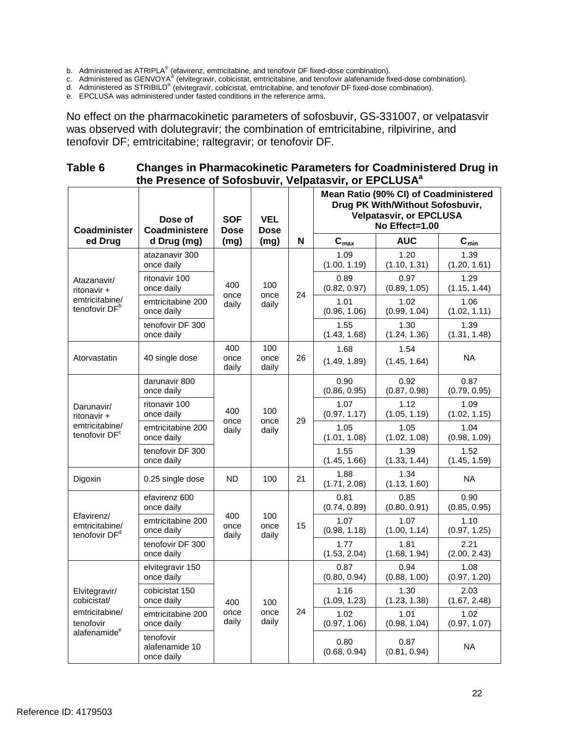b. Administered as ATRIPLA<sup>®</sup> (efavirenz, emtricitabine, and tenofovir DF fixed-dose combination).

c. Administered as GENVOYA® (elvitegravir, cobicistat, emtricitabine, and tenofovir alafenamide fixed-dose combination).

 d. Administered as STRIBILD® (elvitegravir, cobicistat, emtricitabine, and tenofovir DF fixed-dose combination).

e. EPCLUSA was administered under fasted conditions in the reference arms.

 tenofovir DF; emtricitabine; raltegravir; or tenofovir DF. No effect on the pharmacokinetic parameters of sofosbuvir, GS-331007, or velpatasvir was observed with dolutegravir; the combination of emtricitabine, rilpivirine, and

### **Table 6 Changes in Pharmacokinetic Parameters for Coadministered Drug in**  the Presence of Sofosbuvir, Velpatasvir, or EPCLUSA<sup>a</sup>

| Coadminister                                                             | Dose of<br>Coadministere                  | <b>SOF</b><br><b>Dose</b> | <b>VEL</b><br><b>Dose</b> |    | Mean Ratio (90% CI) of Coadministered<br>Drug PK With/Without Sofosbuvir,<br><b>Velpatasvir, or EPCLUSA</b><br>No Effect=1.00 |                      |                      |
|--------------------------------------------------------------------------|-------------------------------------------|---------------------------|---------------------------|----|-------------------------------------------------------------------------------------------------------------------------------|----------------------|----------------------|
| ed Drug                                                                  | d Drug (mg)                               | (mg)                      | (mg)                      | N  | $\mathbf{C}_{\text{max}}$                                                                                                     | <b>AUC</b>           | $C_{min}$            |
|                                                                          | atazanavir 300<br>once daily              |                           |                           |    | 1.09<br>(1.00, 1.19)                                                                                                          | 1.20<br>(1.10, 1.31) | 1.39<br>(1.20, 1.61) |
| Atazanavir/<br>ritonavir +                                               | ritonavir 100<br>once daily               | 400<br>once               | 100<br>once               | 24 | 0.89<br>(0.82, 0.97)                                                                                                          | 0.97<br>(0.89, 1.05) | 1.29<br>(1.15, 1.44) |
| emtricitabine/<br>tenofovir DF <sup>b</sup>                              | emtricitabine 200<br>once daily           | daily                     | daily                     |    | 1.01<br>(0.96, 1.06)                                                                                                          | 1.02<br>(0.99, 1.04) | 1.06<br>(1.02, 1.11) |
|                                                                          | tenofovir DF 300<br>once daily            |                           |                           |    | 1.55<br>(1.43, 1.68)                                                                                                          | 1.30<br>(1.24, 1.36) | 1.39<br>(1.31, 1.48) |
| Atorvastatin                                                             | 40 single dose                            | 400<br>once<br>daily      | 100<br>once<br>daily      | 26 | 1.68<br>(1.49, 1.89)                                                                                                          | 1.54<br>(1.45, 1.64) | <b>NA</b>            |
| Darunavir/<br>ritonavir +<br>emtricitabine/<br>tenofovir DF <sup>c</sup> | darunavir 800<br>once daily               |                           | 100<br>once<br>daily      | 29 | 0.90<br>(0.86, 0.95)                                                                                                          | 0.92<br>(0.87, 0.98) | 0.87<br>(0.79, 0.95) |
|                                                                          | ritonavir 100<br>once daily               | 400<br>once<br>daily      |                           |    | 1.07<br>(0.97, 1.17)                                                                                                          | 1.12<br>(1.05, 1.19) | 1.09<br>(1.02, 1.15) |
|                                                                          | emtricitabine 200<br>once daily           |                           |                           |    | 1.05<br>(1.01, 1.08)                                                                                                          | 1.05<br>(1.02, 1.08) | 1.04<br>(0.98, 1.09) |
|                                                                          | tenofovir DF 300<br>once daily            |                           |                           |    | 1.55<br>(1.45, 1.66)                                                                                                          | 1.39<br>(1.33, 1.44) | 1.52<br>(1.45, 1.59) |
| Digoxin                                                                  | 0.25 single dose                          | ND                        | 100                       | 21 | 1.88<br>(1.71, 2.08)                                                                                                          | 1.34<br>(1.13, 1.60) | <b>NA</b>            |
|                                                                          | efavirenz 600<br>once daily               |                           | 100<br>once<br>daily      | 15 | 0.81<br>(0.74, 0.89)                                                                                                          | 0.85<br>(0.80, 0.91) | 0.90<br>(0.85, 0.95) |
| Efavirenz/<br>emtricitabine/<br>tenofovir DF <sup>d</sup>                | emtricitabine 200<br>once daily           | 400<br>once<br>daily      |                           |    | 1.07<br>(0.98, 1.18)                                                                                                          | 1.07<br>(1.00, 1.14) | 1.10<br>(0.97, 1.25) |
|                                                                          | tenofovir DF 300<br>once daily            |                           |                           |    | 1.77<br>(1.53, 2.04)                                                                                                          | 1.81<br>(1.68, 1.94) | 2.21<br>(2.00, 2.43) |
|                                                                          | elvitegravir 150<br>once daily            |                           |                           |    | 0.87<br>(0.80, 0.94)                                                                                                          | 0.94<br>(0.88, 1.00) | 1.08<br>(0.97, 1.20) |
| Elvitegravir/<br>cobicistat/                                             | cobicistat 150<br>once daily              | 400                       | 100                       |    | 1.16<br>(1.09, 1.23)                                                                                                          | 1.30<br>(1.23, 1.38) | 2.03<br>(1.67, 2.48) |
| emtricitabine/<br>tenofovir                                              | emtricitabine 200<br>once daily           | once<br>daily             | once<br>daily             | 24 | 1.02<br>(0.97, 1.06)                                                                                                          | 1.01<br>(0.98, 1.04) | 1.02<br>(0.97, 1.07) |
| alafenamide <sup>e</sup>                                                 | tenofovir<br>alafenamide 10<br>once daily |                           |                           |    | 0.80<br>(0.68, 0.94)                                                                                                          | 0.87<br>(0.81, 0.94) | <b>NA</b>            |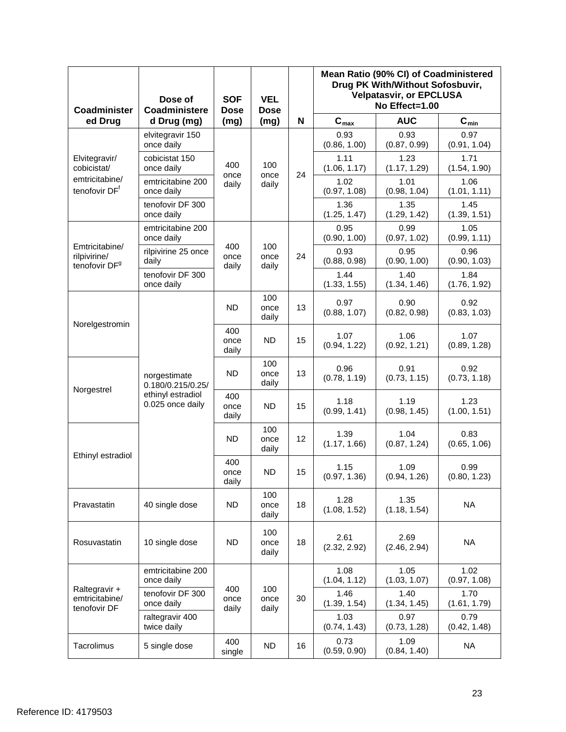| Coadminister                                                | Dose of<br>Coadministere                                                   | <b>SOF</b><br><b>Dose</b> | <b>VEL</b><br><b>Dose</b> |    | Mean Ratio (90% CI) of Coadministered<br>Drug PK With/Without Sofosbuvir,<br><b>Velpatasvir, or EPCLUSA</b><br>No Effect=1.00 |                      |                      |
|-------------------------------------------------------------|----------------------------------------------------------------------------|---------------------------|---------------------------|----|-------------------------------------------------------------------------------------------------------------------------------|----------------------|----------------------|
| ed Drug                                                     | d Drug (mg)                                                                | (mg)                      | (mg)                      | N  | $\mathbf{C}_{\text{max}}$                                                                                                     | <b>AUC</b>           | $C_{min}$            |
|                                                             | elvitegravir 150<br>once daily                                             |                           |                           |    | 0.93<br>(0.86, 1.00)                                                                                                          | 0.93<br>(0.87, 0.99) | 0.97<br>(0.91, 1.04) |
| Elvitegravir/<br>cobicistat/                                | cobicistat 150<br>once daily                                               | 400<br>once               | 100<br>once               | 24 | 1.11<br>(1.06, 1.17)                                                                                                          | 1.23<br>(1.17, 1.29) | 1.71<br>(1.54, 1.90) |
| emtricitabine/<br>tenofovir DF <sup>f</sup>                 | emtricitabine 200<br>once daily                                            | daily                     | daily                     |    | 1.02<br>(0.97, 1.08)                                                                                                          | 1.01<br>(0.98, 1.04) | 1.06<br>(1.01, 1.11) |
|                                                             | tenofovir DF 300<br>once daily                                             |                           |                           |    | 1.36<br>(1.25, 1.47)                                                                                                          | 1.35<br>(1.29, 1.42) | 1.45<br>(1.39, 1.51) |
|                                                             | emtricitabine 200<br>once daily                                            |                           |                           |    | 0.95<br>(0.90, 1.00)                                                                                                          | 0.99<br>(0.97, 1.02) | 1.05<br>(0.99, 1.11) |
| Emtricitabine/<br>rilpivirine/<br>tenofovir DF <sup>9</sup> | rilpivirine 25 once<br>daily                                               | 400<br>once<br>daily      | 100<br>once<br>daily      | 24 | 0.93<br>(0.88, 0.98)                                                                                                          | 0.95<br>(0.90, 1.00) | 0.96<br>(0.90, 1.03) |
|                                                             | tenofovir DF 300<br>once daily                                             |                           |                           |    | 1.44<br>(1.33, 1.55)                                                                                                          | 1.40<br>(1.34, 1.46) | 1.84<br>(1.76, 1.92) |
|                                                             |                                                                            | <b>ND</b>                 | 100<br>once<br>daily      | 13 | 0.97<br>(0.88, 1.07)                                                                                                          | 0.90<br>(0.82, 0.98) | 0.92<br>(0.83, 1.03) |
| Norelgestromin                                              | norgestimate<br>0.180/0.215/0.25/<br>ethinyl estradiol<br>0.025 once daily | 400<br>once<br>daily      | <b>ND</b>                 | 15 | 1.07<br>(0.94, 1.22)                                                                                                          | 1.06<br>(0.92, 1.21) | 1.07<br>(0.89, 1.28) |
|                                                             |                                                                            | <b>ND</b>                 | 100<br>once<br>daily      | 13 | 0.96<br>(0.78, 1.19)                                                                                                          | 0.91<br>(0.73, 1.15) | 0.92<br>(0.73, 1.18) |
| Norgestrel                                                  |                                                                            | 400<br>once<br>daily      | <b>ND</b>                 | 15 | 1.18<br>(0.99, 1.41)                                                                                                          | 1.19<br>(0.98, 1.45) | 1.23<br>(1.00, 1.51) |
| Ethinyl estradiol                                           |                                                                            | ND                        | 100<br>once<br>daily      | 12 | 1.39<br>(1.17, 1.66)                                                                                                          | 1.04<br>(0.87, 1.24) | 0.83<br>(0.65, 1.06) |
|                                                             |                                                                            | 400<br>once<br>daily      | <b>ND</b>                 | 15 | 1.15<br>(0.97, 1.36)                                                                                                          | 1.09<br>(0.94, 1.26) | 0.99<br>(0.80, 1.23) |
| Pravastatin                                                 | 40 single dose                                                             | <b>ND</b>                 | 100<br>once<br>daily      | 18 | 1.28<br>(1.08, 1.52)                                                                                                          | 1.35<br>(1.18, 1.54) | <b>NA</b>            |
| Rosuvastatin                                                | 10 single dose                                                             | <b>ND</b>                 | 100<br>once<br>daily      | 18 | 2.61<br>(2.32, 2.92)                                                                                                          | 2.69<br>(2.46, 2.94) | <b>NA</b>            |
|                                                             | emtricitabine 200<br>once daily                                            |                           |                           |    | 1.08<br>(1.04, 1.12)                                                                                                          | 1.05<br>(1.03, 1.07) | 1.02<br>(0.97, 1.08) |
| Raltegravir +<br>emtricitabine/<br>tenofovir DF             | tenofovir DF 300<br>once daily                                             | 400<br>once<br>daily      | 100<br>once<br>daily      | 30 | 1.46<br>(1.39, 1.54)                                                                                                          | 1.40<br>(1.34, 1.45) | 1.70<br>(1.61, 1.79) |
|                                                             | raltegravir 400<br>twice daily                                             |                           |                           |    | 1.03<br>(0.74, 1.43)                                                                                                          | 0.97<br>(0.73, 1.28) | 0.79<br>(0.42, 1.48) |
| Tacrolimus                                                  | 5 single dose                                                              | 400<br>single             | <b>ND</b>                 | 16 | 0.73<br>(0.59, 0.90)                                                                                                          | 1.09<br>(0.84, 1.40) | <b>NA</b>            |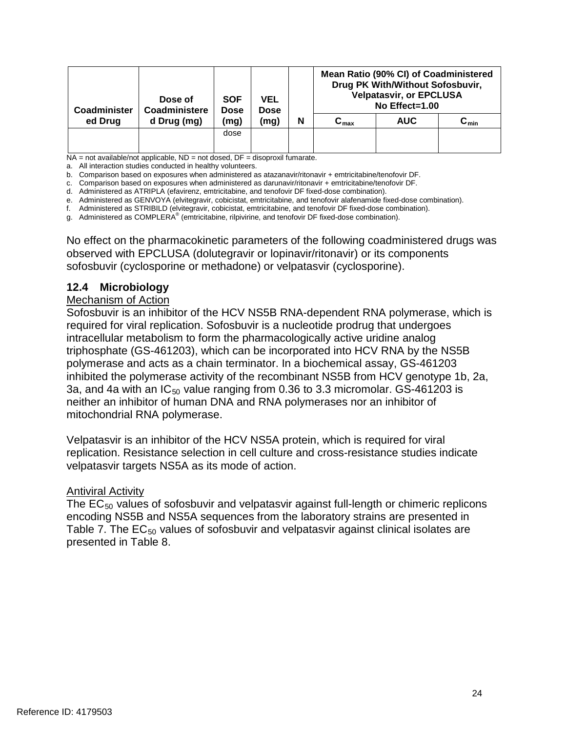| Coadminister | Dose of<br>Coadministere | <b>SOF</b><br>Dose | VEL<br><b>Dose</b> |   | Mean Ratio (90% CI) of Coadministered<br>Drug PK With/Without Sofosbuvir,<br><b>Velpatasvir, or EPCLUSA</b><br>No Effect=1.00 |            |                 |
|--------------|--------------------------|--------------------|--------------------|---|-------------------------------------------------------------------------------------------------------------------------------|------------|-----------------|
| ed Drug      | d Drug (mg)              | (mg)               | (mg)               | N | ${\tt C_{max}}$                                                                                                               | <b>AUC</b> | ${\tt C_{min}}$ |
|              |                          | dose               |                    |   |                                                                                                                               |            |                 |
|              |                          |                    |                    |   |                                                                                                                               |            |                 |

NA = not available/not applicable, ND = not dosed, DF = disoproxil fumarate.

a. All interaction studies conducted in healthy volunteers.

b. Comparison based on exposures when administered as atazanavir/ritonavir + emtricitabine/tenofovir DF.

c. Comparison based on exposures when administered as darunavir/ritonavir + emtricitabine/tenofovir DF.

d. Administered as ATRIPLA (efavirenz, emtricitabine, and tenofovir DF fixed-dose combination).

e. Administered as GENVOYA (elvitegravir, cobicistat, emtricitabine, and tenofovir alafenamide fixed-dose combination).

f. Administered as STRIBILD (elvitegravir, cobicistat, emtricitabine, and tenofovir DF fixed-dose combination).

g. Administered as COMPLERA® (emtricitabine, rilpivirine, and tenofovir DF fixed-dose combination).

No effect on the pharmacokinetic parameters of the following coadministered drugs was observed with EPCLUSA (dolutegravir or lopinavir/ritonavir) or its components sofosbuvir (cyclosporine or methadone) or velpatasvir (cyclosporine).

#### **12.4 Microbiology**

#### Mechanism of Action

 required for viral replication. Sofosbuvir is a nucleotide prodrug that undergoes inhibited the polymerase activity of the recombinant NS5B from HCV genotype 1b, 2a, neither an inhibitor of human DNA and RNA polymerases nor an inhibitor of Sofosbuvir is an inhibitor of the HCV NS5B RNA-dependent RNA polymerase, which is intracellular metabolism to form the pharmacologically active uridine analog triphosphate (GS-461203), which can be incorporated into HCV RNA by the NS5B polymerase and acts as a chain terminator. In a biochemical assay, GS-461203 3a, and 4a with an  $IC_{50}$  value ranging from 0.36 to 3.3 micromolar. GS-461203 is mitochondrial RNA polymerase.

Velpatasvir is an inhibitor of the HCV NS5A protein, which is required for viral replication. Resistance selection in cell culture and cross-resistance studies indicate velpatasvir targets NS5A as its mode of action.

### **Antiviral Activity**

The  $EC_{50}$  values of sofosbuvir and velpatasvir against full-length or chimeric replicons encoding NS5B and NS5A sequences from the laboratory strains are presented in Table 7. The  $EC_{50}$  values of sofosbuvir and velpatasvir against clinical isolates are presented in Table 8.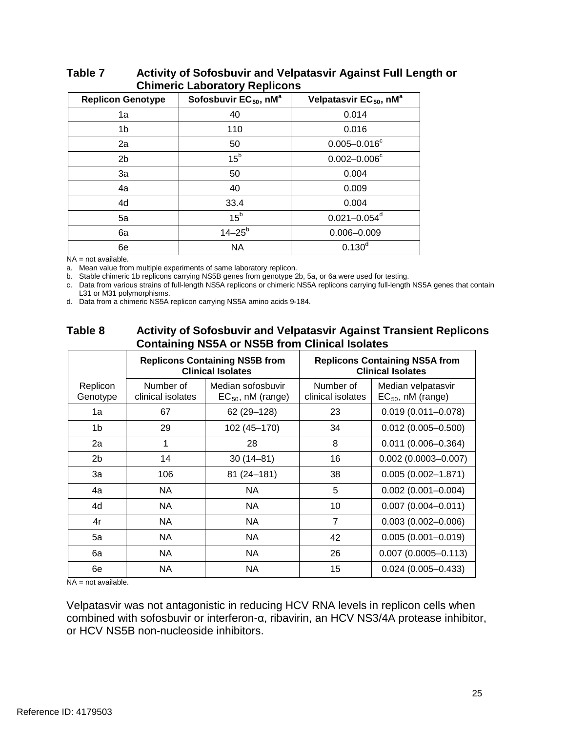| <b>Replicon Genotype</b> | Sofosbuvir EC <sub>50</sub> , nM <sup>a</sup> | Velpatasvir EC <sub>50</sub> , nM <sup>a</sup> |
|--------------------------|-----------------------------------------------|------------------------------------------------|
| 1a                       | 40                                            | 0.014                                          |
| 1b                       | 110                                           | 0.016                                          |
| 2a                       | 50                                            | $0.005 - 0.016^c$                              |
| 2 <sub>b</sub>           | 15 <sup>b</sup>                               | $0.002 - 0.006^{\circ}$                        |
| 3a                       | 50                                            | 0.004                                          |
| 4a                       | 40                                            | 0.009                                          |
| 4d                       | 33.4                                          | 0.004                                          |
| 5a                       | 15 <sup>b</sup>                               | $0.021 - 0.054$ <sup>d</sup>                   |
| 6a                       | $14 - 25^{b}$                                 | $0.006 - 0.009$                                |
| 6e                       | <b>NA</b>                                     | $0.130^{d}$                                    |

#### Table 7 **Table 7 Activity of Sofosbuvir and Velpatasvir Against Full Length or Chimeric Laboratory Replicons**

NA = not available.

a. Mean value from multiple experiments of same laboratory replicon.

b. Stable chimeric 1b replicons carrying NS5B genes from genotype 2b, 5a, or 6a were used for testing.

c. Data from various strains of full-length NS5A replicons or chimeric NS5A replicons carrying full-length NS5A genes that contain L31 or M31 polymorphisms.

d. Data from a chimeric NS5A replicon carrying NS5A amino acids 9-184.

#### Table 8 **Activity of Sofosbuvir and Velpatasvir Against Transient Replicons Containing NS5A or NS5B from Clinical Isolates**

|                      |                                | <b>Replicons Containing NS5B from</b><br><b>Clinical Isolates</b> |                                | <b>Replicons Containing NS5A from</b><br><b>Clinical Isolates</b> |
|----------------------|--------------------------------|-------------------------------------------------------------------|--------------------------------|-------------------------------------------------------------------|
| Replicon<br>Genotype | Number of<br>clinical isolates | Median sofosbuvir<br>$EC_{50}$ , nM (range)                       | Number of<br>clinical isolates | Median velpatasvir<br>$EC_{50}$ , nM (range)                      |
| 1a                   | 67                             | 62 (29 - 128)                                                     | 23                             | $0.019(0.011 - 0.078)$                                            |
| 1b                   | 29                             | 102 (45-170)                                                      | 34                             | $0.012(0.005 - 0.500)$                                            |
| 2a                   | 1                              | 28                                                                | 8                              | $0.011(0.006 - 0.364)$                                            |
| 2 <sub>b</sub>       | 14                             | $30(14 - 81)$                                                     | 16                             | $0.002$ (0.0003-0.007)                                            |
| 3a                   | 106                            | $81(24 - 181)$                                                    | 38                             | $0.005(0.002 - 1.871)$                                            |
| 4a                   | NA.                            | NA.                                                               | 5                              | $0.002$ (0.001-0.004)                                             |
| 4d                   | NA.                            | NA.                                                               | 10                             | $0.007(0.004 - 0.011)$                                            |
| 4r                   | <b>NA</b>                      | NA.                                                               | $\overline{7}$                 | $0.003(0.002 - 0.006)$                                            |
| 5a                   | <b>NA</b>                      | <b>NA</b>                                                         | 42                             | $0.005(0.001 - 0.019)$                                            |
| 6a                   | <b>NA</b>                      | <b>NA</b>                                                         | 26                             | $0.007(0.0005 - 0.113)$                                           |
| 6e                   | NA.                            | NA.                                                               | 15                             | $0.024(0.005 - 0.433)$                                            |

NA = not available.

Velpatasvir was not antagonistic in reducing HCV RNA levels in replicon cells when combined with sofosbuvir or interferon-α, ribavirin, an HCV NS3/4A protease inhibitor, or HCV NS5B non-nucleoside inhibitors.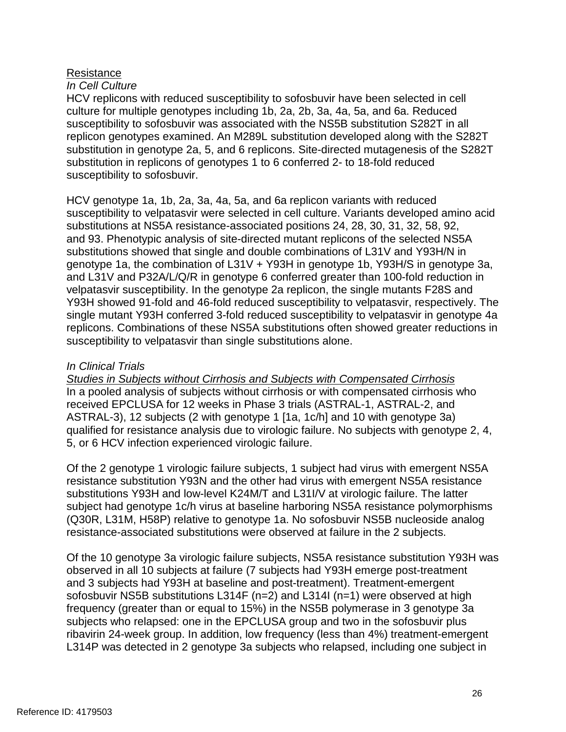## **Resistance**

### *In Cell Culture*

 substitution in genotype 2a, 5, and 6 replicons. Site-directed mutagenesis of the S282T susceptibility to sofosbuvir. HCV replicons with reduced susceptibility to sofosbuvir have been selected in cell culture for multiple genotypes including 1b, 2a, 2b, 3a, 4a, 5a, and 6a. Reduced susceptibility to sofosbuvir was associated with the NS5B substitution S282T in all replicon genotypes examined. An M289L substitution developed along with the S282T substitution in replicons of genotypes 1 to 6 conferred 2- to 18-fold reduced

 HCV genotype 1a, 1b, 2a, 3a, 4a, 5a, and 6a replicon variants with reduced substitutions at NS5A resistance-associated positions 24, 28, 30, 31, 32, 58, 92, susceptibility to velpatasvir were selected in cell culture. Variants developed amino acid and 93. Phenotypic analysis of site-directed mutant replicons of the selected NS5A substitutions showed that single and double combinations of L31V and Y93H/N in genotype 1a, the combination of L31V + Y93H in genotype 1b, Y93H/S in genotype 3a, and L31V and P32A/L/Q/R in genotype 6 conferred greater than 100-fold reduction in velpatasvir susceptibility. In the genotype 2a replicon, the single mutants F28S and Y93H showed 91-fold and 46-fold reduced susceptibility to velpatasvir, respectively. The single mutant Y93H conferred 3-fold reduced susceptibility to velpatasvir in genotype 4a replicons. Combinations of these NS5A substitutions often showed greater reductions in susceptibility to velpatasvir than single substitutions alone.

## *In Clinical Trials*

*Studies in Subjects without Cirrhosis and Subjects with Compensated Cirrhosis*  In a pooled analysis of subjects without cirrhosis or with compensated cirrhosis who received EPCLUSA for 12 weeks in Phase 3 trials (ASTRAL-1, ASTRAL-2, and ASTRAL-3), 12 subjects (2 with genotype 1 [1a, 1c/h] and 10 with genotype 3a) qualified for resistance analysis due to virologic failure. No subjects with genotype 2, 4, 5, or 6 HCV infection experienced virologic failure.

 substitutions Y93H and low-level K24M/T and L31I/V at virologic failure. The latter (Q30R, L31M, H58P) relative to genotype 1a. No sofosbuvir NS5B nucleoside analog resistance-associated substitutions were observed at failure in the 2 subjects. Of the 2 genotype 1 virologic failure subjects, 1 subject had virus with emergent NS5A resistance substitution Y93N and the other had virus with emergent NS5A resistance subject had genotype 1c/h virus at baseline harboring NS5A resistance polymorphisms

 and 3 subjects had Y93H at baseline and post-treatment). Treatment-emergent ribavirin 24-week group. In addition, low frequency (less than 4%) treatment-emergent Of the 10 genotype 3a virologic failure subjects, NS5A resistance substitution Y93H was observed in all 10 subjects at failure (7 subjects had Y93H emerge post-treatment sofosbuvir NS5B substitutions L314F (n=2) and L314I (n=1) were observed at high frequency (greater than or equal to 15%) in the NS5B polymerase in 3 genotype 3a subjects who relapsed: one in the EPCLUSA group and two in the sofosbuvir plus L314P was detected in 2 genotype 3a subjects who relapsed, including one subject in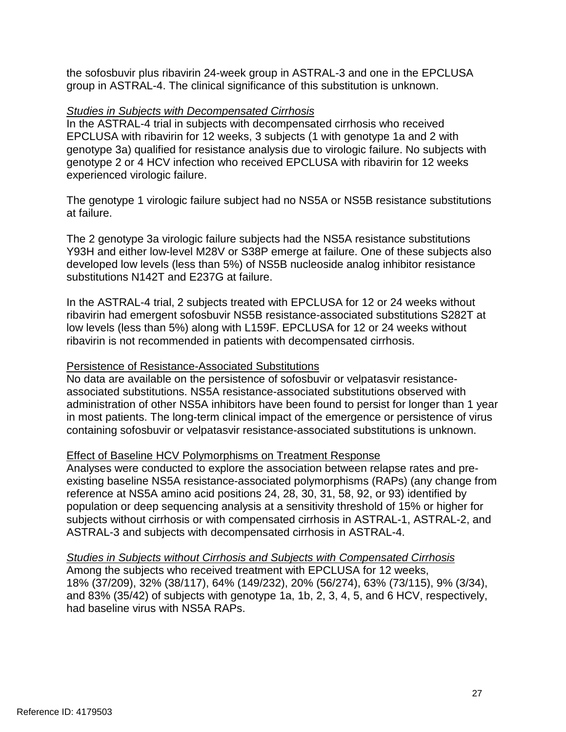the sofosbuvir plus ribavirin 24-week group in ASTRAL-3 and one in the EPCLUSA group in ASTRAL-4. The clinical significance of this substitution is unknown.

## *Studies in Subjects with Decompensated Cirrhosis*

 genotype 2 or 4 HCV infection who received EPCLUSA with ribavirin for 12 weeks In the ASTRAL-4 trial in subjects with decompensated cirrhosis who received EPCLUSA with ribavirin for 12 weeks, 3 subjects (1 with genotype 1a and 2 with genotype 3a) qualified for resistance analysis due to virologic failure. No subjects with experienced virologic failure.

The genotype 1 virologic failure subject had no NS5A or NS5B resistance substitutions at failure.

 Y93H and either low-level M28V or S38P emerge at failure. One of these subjects also The 2 genotype 3a virologic failure subjects had the NS5A resistance substitutions developed low levels (less than 5%) of NS5B nucleoside analog inhibitor resistance substitutions N142T and E237G at failure.

In the ASTRAL-4 trial, 2 subjects treated with EPCLUSA for 12 or 24 weeks without ribavirin had emergent sofosbuvir NS5B resistance-associated substitutions S282T at low levels (less than 5%) along with L159F. EPCLUSA for 12 or 24 weeks without ribavirin is not recommended in patients with decompensated cirrhosis.

## Persistence of Resistance-Associated Substitutions

 administration of other NS5A inhibitors have been found to persist for longer than 1 year in most patients. The long-term clinical impact of the emergence or persistence of virus No data are available on the persistence of sofosbuvir or velpatasvir resistanceassociated substitutions. NS5A resistance-associated substitutions observed with containing sofosbuvir or velpatasvir resistance-associated substitutions is unknown.

## Effect of Baseline HCV Polymorphisms on Treatment Response

 reference at NS5A amino acid positions 24, 28, 30, 31, 58, 92, or 93) identified by Analyses were conducted to explore the association between relapse rates and preexisting baseline NS5A resistance-associated polymorphisms (RAPs) (any change from population or deep sequencing analysis at a sensitivity threshold of 15% or higher for subjects without cirrhosis or with compensated cirrhosis in ASTRAL-1, ASTRAL-2, and ASTRAL-3 and subjects with decompensated cirrhosis in ASTRAL-4.

 18% (37/209), 32% (38/117), 64% (149/232), 20% (56/274), 63% (73/115), 9% (3/34), *Studies in Subjects without Cirrhosis and Subjects with Compensated Cirrhosis*  Among the subjects who received treatment with EPCLUSA for 12 weeks, and 83% (35/42) of subjects with genotype 1a, 1b, 2, 3, 4, 5, and 6 HCV, respectively, had baseline virus with NS5A RAPs.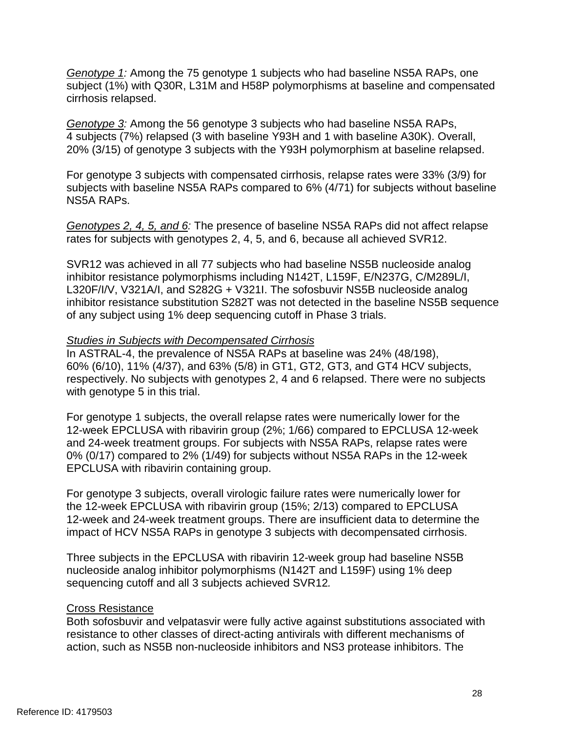*Genotype 1:* Among the 75 genotype 1 subjects who had baseline NS5A RAPs, one subject (1%) with Q30R, L31M and H58P polymorphisms at baseline and compensated cirrhosis relapsed.

*Genotype 3:* Among the 56 genotype 3 subjects who had baseline NS5A RAPs, 4 subjects (7%) relapsed (3 with baseline Y93H and 1 with baseline A30K). Overall, 20% (3/15) of genotype 3 subjects with the Y93H polymorphism at baseline relapsed.

For genotype 3 subjects with compensated cirrhosis, relapse rates were 33% (3/9) for subjects with baseline NS5A RAPs compared to 6% (4/71) for subjects without baseline NS5A RAPs.

 *Genotypes 2, 4, 5, and 6:* The presence of baseline NS5A RAPs did not affect relapse rates for subjects with genotypes 2, 4, 5, and 6, because all achieved SVR12.

 inhibitor resistance polymorphisms including N142T, L159F, E/N237G, C/M289L/I, L320F/I/V, V321A/I, and S282G + V321I. The sofosbuvir NS5B nucleoside analog SVR12 was achieved in all 77 subjects who had baseline NS5B nucleoside analog inhibitor resistance substitution S282T was not detected in the baseline NS5B sequence of any subject using 1% deep sequencing cutoff in Phase 3 trials.

### *Studies in Subjects with Decompensated Cirrhosis*

 respectively. No subjects with genotypes 2, 4 and 6 relapsed. There were no subjects In ASTRAL-4, the prevalence of NS5A RAPs at baseline was 24% (48/198), 60% (6/10), 11% (4/37), and 63% (5/8) in GT1, GT2, GT3, and GT4 HCV subjects, with genotype 5 in this trial.

 12-week EPCLUSA with ribavirin group (2%; 1/66) compared to EPCLUSA 12-week For genotype 1 subjects, the overall relapse rates were numerically lower for the and 24-week treatment groups. For subjects with NS5A RAPs, relapse rates were 0% (0/17) compared to 2% (1/49) for subjects without NS5A RAPs in the 12-week EPCLUSA with ribavirin containing group.

 impact of HCV NS5A RAPs in genotype 3 subjects with decompensated cirrhosis. For genotype 3 subjects, overall virologic failure rates were numerically lower for the 12-week EPCLUSA with ribavirin group (15%; 2/13) compared to EPCLUSA 12-week and 24-week treatment groups. There are insufficient data to determine the

Three subjects in the EPCLUSA with ribavirin 12-week group had baseline NS5B nucleoside analog inhibitor polymorphisms (N142T and L159F) using 1% deep sequencing cutoff and all 3 subjects achieved SVR12*.* 

### Cross Resistance

 resistance to other classes of direct-acting antivirals with different mechanisms of Both sofosbuvir and velpatasvir were fully active against substitutions associated with action, such as NS5B non-nucleoside inhibitors and NS3 protease inhibitors. The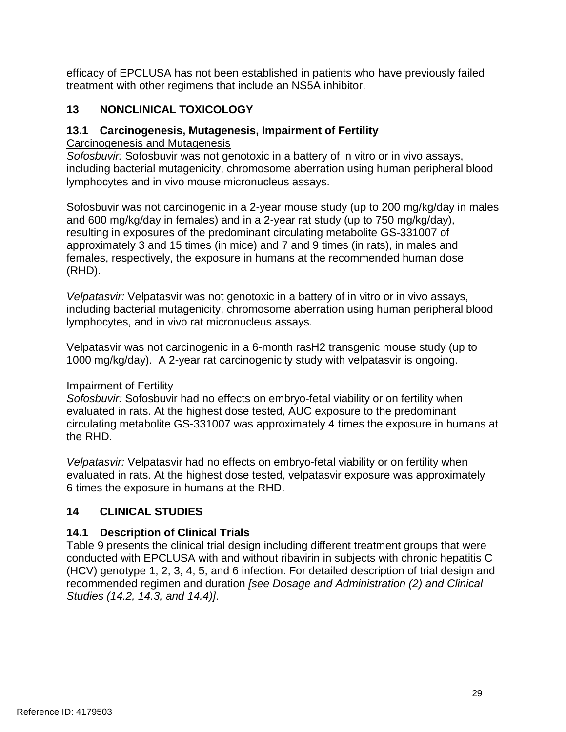efficacy of EPCLUSA has not been established in patients who have previously failed treatment with other regimens that include an NS5A inhibitor.

# **13 NONCLINICAL TOXICOLOGY**

# **13.1 Carcinogenesis, Mutagenesis, Impairment of Fertility**

Carcinogenesis and Mutagenesis

*Sofosbuvir:* Sofosbuvir was not genotoxic in a battery of in vitro or in vivo assays, including bacterial mutagenicity, chromosome aberration using human peripheral blood lymphocytes and in vivo mouse micronucleus assays.

Sofosbuvir was not carcinogenic in a 2-year mouse study (up to 200 mg/kg/day in males and 600 mg/kg/day in females) and in a 2-year rat study (up to 750 mg/kg/day), resulting in exposures of the predominant circulating metabolite GS-331007 of approximately 3 and 15 times (in mice) and 7 and 9 times (in rats), in males and females, respectively, the exposure in humans at the recommended human dose (RHD).

*Velpatasvir:* Velpatasvir was not genotoxic in a battery of in vitro or in vivo assays, including bacterial mutagenicity, chromosome aberration using human peripheral blood lymphocytes, and in vivo rat micronucleus assays.

Velpatasvir was not carcinogenic in a 6-month rasH2 transgenic mouse study (up to 1000 mg/kg/day). A 2-year rat carcinogenicity study with velpatasvir is ongoing.

# Impairment of Fertility

 evaluated in rats. At the highest dose tested, AUC exposure to the predominant circulating metabolite GS-331007 was approximately 4 times the exposure in humans at *Sofosbuvir:* Sofosbuvir had no effects on embryo-fetal viability or on fertility when the RHD.

 evaluated in rats. At the highest dose tested, velpatasvir exposure was approximately 6 times the exposure in humans at the RHD. *Velpatasvir:* Velpatasvir had no effects on embryo-fetal viability or on fertility when

# **14 CLINICAL STUDIES**

# **14.1 Description of Clinical Trials**

 (HCV) genotype 1, 2, 3, 4, 5, and 6 infection. For detailed description of trial design and Table 9 presents the clinical trial design including different treatment groups that were conducted with EPCLUSA with and without ribavirin in subjects with chronic hepatitis C recommended regimen and duration *[see Dosage and Administration (2) and Clinical Studies (14.2, 14.3, and 14.4)]*.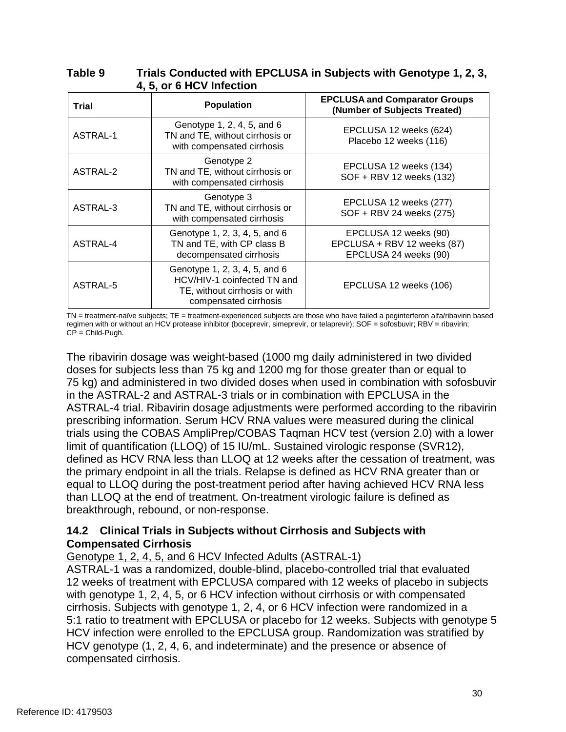### **Table 9 Trials Conducted with EPCLUSA in Subjects with Genotype 1, 2, 3, 4, 5, or 6 HCV Infection**

| Trial           | <b>Population</b>                                                                                                      | <b>EPCLUSA and Comparator Groups</b><br>(Number of Subjects Treated)          |
|-----------------|------------------------------------------------------------------------------------------------------------------------|-------------------------------------------------------------------------------|
| <b>ASTRAL-1</b> | Genotype 1, 2, 4, 5, and 6<br>TN and TE, without cirrhosis or<br>with compensated cirrhosis                            | EPCLUSA 12 weeks (624)<br>Placebo 12 weeks (116)                              |
| ASTRAL-2        | Genotype 2<br>TN and TE, without cirrhosis or<br>with compensated cirrhosis                                            | EPCLUSA 12 weeks (134)<br>SOF + RBV 12 weeks (132)                            |
| ASTRAL-3        | Genotype 3<br>TN and TE, without cirrhosis or<br>with compensated cirrhosis                                            | EPCLUSA 12 weeks (277)<br>SOF + RBV 24 weeks (275)                            |
| ASTRAL-4        | Genotype 1, 2, 3, 4, 5, and 6<br>TN and TE, with CP class B<br>decompensated cirrhosis                                 | EPCLUSA 12 weeks (90)<br>EPCLUSA + RBV 12 weeks (87)<br>EPCLUSA 24 weeks (90) |
| ASTRAL-5        | Genotype 1, 2, 3, 4, 5, and 6<br>HCV/HIV-1 coinfected TN and<br>TE, without cirrhosis or with<br>compensated cirrhosis | EPCLUSA 12 weeks (106)                                                        |

 TN = treatment-naïve subjects; TE = treatment-experienced subjects are those who have failed a peginterferon alfa/ribavirin based regimen with or without an HCV protease inhibitor (boceprevir, simeprevir, or telaprevir); SOF = sofosbuvir; RBV = ribavirin; CP = Child-Pugh.

 doses for subjects less than 75 kg and 1200 mg for those greater than or equal to The ribavirin dosage was weight-based (1000 mg daily administered in two divided 75 kg) and administered in two divided doses when used in combination with sofosbuvir in the ASTRAL-2 and ASTRAL-3 trials or in combination with EPCLUSA in the ASTRAL-4 trial. Ribavirin dosage adjustments were performed according to the ribavirin prescribing information. Serum HCV RNA values were measured during the clinical trials using the COBAS AmpliPrep/COBAS Taqman HCV test (version 2.0) with a lower limit of quantification (LLOQ) of 15 IU/mL. Sustained virologic response (SVR12), defined as HCV RNA less than LLOQ at 12 weeks after the cessation of treatment, was the primary endpoint in all the trials. Relapse is defined as HCV RNA greater than or equal to LLOQ during the post-treatment period after having achieved HCV RNA less than LLOQ at the end of treatment. On-treatment virologic failure is defined as breakthrough, rebound, or non-response.

# **14.2 Clinical Trials in Subjects without Cirrhosis and Subjects with Compensated Cirrhosis**

# Genotype 1, 2, 4, 5, and 6 HCV Infected Adults (ASTRAL-1)

ASTRAL-1 was a randomized, double-blind, placebo-controlled trial that evaluated 12 weeks of treatment with EPCLUSA compared with 12 weeks of placebo in subjects with genotype 1, 2, 4, 5, or 6 HCV infection without cirrhosis or with compensated cirrhosis. Subjects with genotype 1, 2, 4, or 6 HCV infection were randomized in a 5:1 ratio to treatment with EPCLUSA or placebo for 12 weeks. Subjects with genotype 5 HCV infection were enrolled to the EPCLUSA group. Randomization was stratified by HCV genotype (1, 2, 4, 6, and indeterminate) and the presence or absence of compensated cirrhosis.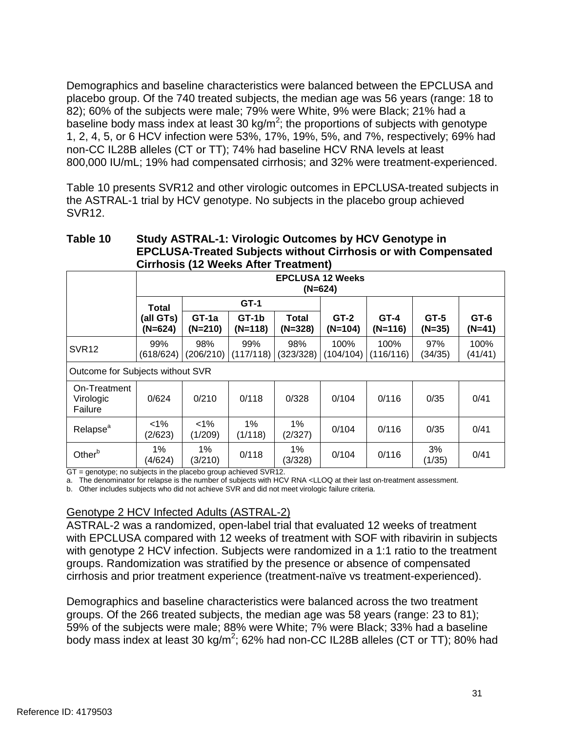1, 2, 4, 5, or 6 HCV infection were 53%, 17%, 19%, 5%, and 7%, respectively; 69% had non-CC IL28B alleles (CT or TT); 74% had baseline HCV RNA levels at least 800,000 IU/mL; 19% had compensated cirrhosis; and 32% were treatment-experienced. Demographics and baseline characteristics were balanced between the EPCLUSA and placebo group. Of the 740 treated subjects, the median age was 56 years (range: 18 to 82); 60% of the subjects were male; 79% were White, 9% were Black; 21% had a baseline body mass index at least 30 kg/m<sup>2</sup>; the proportions of subjects with genotype

Table 10 presents SVR12 and other virologic outcomes in EPCLUSA-treated subjects in the ASTRAL-1 trial by HCV genotype. No subjects in the placebo group achieved SVR12.

## **Table 10 Study ASTRAL-1: Virologic Outcomes by HCV Genotype in EPCLUSA-Treated Subjects without Cirrhosis or with Compensated Cirrhosis (12 Weeks After Treatment)**

|                                      | <b>EPCLUSA 12 Weeks</b><br>$(N=624)$ |                      |                      |                           |                     |                     |                    |                    |
|--------------------------------------|--------------------------------------|----------------------|----------------------|---------------------------|---------------------|---------------------|--------------------|--------------------|
|                                      | Total                                |                      | GT-1                 |                           |                     |                     |                    |                    |
|                                      | (all GTs)<br>$(N=624)$               | $GT-1a$<br>$(N=210)$ | $GT-1b$<br>$(N=118)$ | <b>Total</b><br>$(N=328)$ | $GT-2$<br>$(N=104)$ | $GT-4$<br>$(N=116)$ | $GT-5$<br>$(N=35)$ | $GT-6$<br>$(N=41)$ |
| SVR <sub>12</sub>                    | 99%<br>(618/624)                     | 98%<br>(206/210)     | 99%<br>(117/118)     | 98%<br>(323/328)          | 100%<br>(104/104)   | 100%<br>(116/116)   | 97%<br>(34/35)     | 100%<br>(41/41)    |
| Outcome for Subjects without SVR     |                                      |                      |                      |                           |                     |                     |                    |                    |
| On-Treatment<br>Virologic<br>Failure | 0/624                                | 0/210                | 0/118                | 0/328                     | 0/104               | 0/116               | 0/35               | 0/41               |
| Relapse <sup>a</sup>                 | $<1\%$<br>(2/623)                    | $<1\%$<br>(1/209)    | 1%<br>(1/118)        | $1\%$<br>(2/327)          | 0/104               | 0/116               | 0/35               | 0/41               |
| Other <sup>b</sup>                   | 1%<br>(4/624)                        | $1\%$<br>(3/210)     | 0/118                | $1\%$<br>(3/328)          | 0/104               | 0/116               | 3%<br>(1/35)       | 0/41               |

GT = genotype; no subjects in the placebo group achieved SVR12.

a. The denominator for relapse is the number of subjects with HCV RNA <LLOQ at their last on-treatment assessment.

b. Other includes subjects who did not achieve SVR and did not meet virologic failure criteria.

## Genotype 2 HCV Infected Adults (ASTRAL-2)

 ASTRAL-2 was a randomized, open-label trial that evaluated 12 weeks of treatment with EPCLUSA compared with 12 weeks of treatment with SOF with ribavirin in subjects with genotype 2 HCV infection. Subjects were randomized in a 1:1 ratio to the treatment groups. Randomization was stratified by the presence or absence of compensated cirrhosis and prior treatment experience (treatment-naïve vs treatment-experienced).

body mass index at least 30 kg/m<sup>2</sup>; 62% had non-CC IL28B alleles (CT or TT); 80% had Demographics and baseline characteristics were balanced across the two treatment groups. Of the 266 treated subjects, the median age was 58 years (range: 23 to 81); 59% of the subjects were male; 88% were White; 7% were Black; 33% had a baseline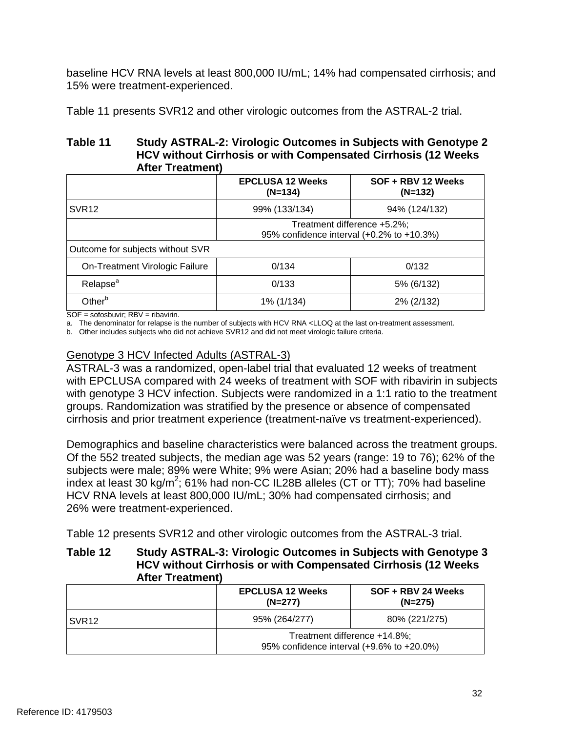baseline HCV RNA levels at least 800,000 IU/mL; 14% had compensated cirrhosis; and 15% were treatment-experienced.

Table 11 presents SVR12 and other virologic outcomes from the ASTRAL-2 trial.

### **HCV without Cirrhosis or with Compensated Cirrhosis (12 Weeks Table 11 Study ASTRAL-2: Virologic Outcomes in Subjects with Genotype 2 After Treatment)**

|                                  | <b>EPCLUSA 12 Weeks</b><br>$(N=134)$                                     | SOF + RBV 12 Weeks<br>$(N=132)$ |
|----------------------------------|--------------------------------------------------------------------------|---------------------------------|
| SVR <sub>12</sub>                | 99% (133/134)                                                            | 94% (124/132)                   |
| Outcome for subjects without SVR | Treatment difference +5.2%;<br>95% confidence interval (+0.2% to +10.3%) |                                 |
| On-Treatment Virologic Failure   | 0/134                                                                    | 0/132                           |
| Relapse <sup>a</sup>             | 0/133                                                                    | 5% (6/132)                      |
| Other <sup>b</sup>               | 1% (1/134)                                                               | 2% (2/132)                      |

SOF = sofosbuvir; RBV = ribavirin.

a. The denominator for relapse is the number of subjects with HCV RNA <LLOQ at the last on-treatment assessment.

b. Other includes subjects who did not achieve SVR12 and did not meet virologic failure criteria.

## Genotype 3 HCV Infected Adults (ASTRAL-3)

 ASTRAL-3 was a randomized, open-label trial that evaluated 12 weeks of treatment with EPCLUSA compared with 24 weeks of treatment with SOF with ribavirin in subjects with genotype 3 HCV infection. Subjects were randomized in a 1:1 ratio to the treatment groups. Randomization was stratified by the presence or absence of compensated cirrhosis and prior treatment experience (treatment-naïve vs treatment-experienced).

 Of the 552 treated subjects, the median age was 52 years (range: 19 to 76); 62% of the subjects were male; 89% were White; 9% were Asian; 20% had a baseline body mass index at least 30 kg/m<sup>2</sup>; 61% had non-CC IL28B alleles (CT or TT); 70% had baseline Demographics and baseline characteristics were balanced across the treatment groups. HCV RNA levels at least 800,000 IU/mL; 30% had compensated cirrhosis; and 26% were treatment-experienced.

Table 12 presents SVR12 and other virologic outcomes from the ASTRAL-3 trial.

### **HCV without Cirrhosis or with Compensated Cirrhosis (12 Weeks Table 12 Study ASTRAL-3: Virologic Outcomes in Subjects with Genotype 3 After Treatment)**

|        | <b>EPCLUSA 12 Weeks</b><br>SOF + RBV 24 Weeks<br>$(N=277)$<br>$(N=275)$   |               |  |  |
|--------|---------------------------------------------------------------------------|---------------|--|--|
| ISVR12 | 95% (264/277)                                                             | 80% (221/275) |  |  |
|        | Treatment difference +14.8%;<br>95% confidence interval (+9.6% to +20.0%) |               |  |  |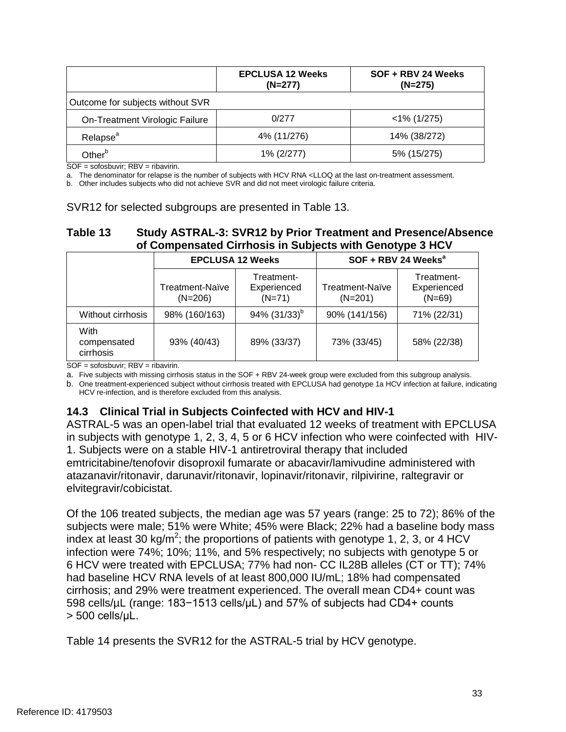|                                  | <b>EPCLUSA 12 Weeks</b><br>$(N=277)$ | SOF + RBV 24 Weeks<br>$(N=275)$ |
|----------------------------------|--------------------------------------|---------------------------------|
| Outcome for subjects without SVR |                                      |                                 |
| On-Treatment Virologic Failure   | 0/277                                | $<$ 1% (1/275)                  |
| Relapse <sup>a</sup>             | 4% (11/276)                          | 14% (38/272)                    |
| Other <sup>b</sup>               | 1% (2/277)                           | 5% (15/275)                     |

SOF = sofosbuvir; RBV = ribavirin.

a. The denominator for relapse is the number of subjects with HCV RNA <LLOQ at the last on-treatment assessment.

b. Other includes subjects who did not achieve SVR and did not meet virologic failure criteria.

#### SVR12 for selected subgroups are presented in Table 13.

# **Table 13 Study ASTRAL-3: SVR12 by Prior Treatment and Presence/Absence of Compensated Cirrhosis in Subjects with Genotype 3 HCV**

|                                  |                              | <b>EPCLUSA 12 Weeks</b>               | SOF + RBV 24 Weeks <sup>a</sup> |                                       |  |
|----------------------------------|------------------------------|---------------------------------------|---------------------------------|---------------------------------------|--|
|                                  | Treatment-Naïve<br>$(N=206)$ | Treatment-<br>Experienced<br>$(N=71)$ | Treatment-Naïve<br>$(N=201)$    | Treatment-<br>Experienced<br>$(N=69)$ |  |
| Without cirrhosis                | 98% (160/163)                | 94% $(31/33)^{b}$                     | 90% (141/156)                   | 71% (22/31)                           |  |
| With<br>compensated<br>cirrhosis | 93% (40/43)                  | 89% (33/37)                           | 73% (33/45)                     | 58% (22/38)                           |  |

SOF = sofosbuvir; RBV = ribavirin.

a. Five subjects with missing cirrhosis status in the SOF + RBV 24-week group were excluded from this subgroup analysis.

b. One treatment-experienced subject without cirrhosis treated with EPCLUSA had genotype 1a HCV infection at failure, indicating HCV re-infection, and is therefore excluded from this analysis.

## **14.3 Clinical Trial in Subjects Coinfected with HCV and HIV-1**

 in subjects with genotype 1, 2, 3, 4, 5 or 6 HCV infection who were coinfected with HIV-ASTRAL-5 was an open-label trial that evaluated 12 weeks of treatment with EPCLUSA 1. Subjects were on a stable HIV-1 antiretroviral therapy that included emtricitabine/tenofovir disoproxil fumarate or abacavir/lamivudine administered with atazanavir/ritonavir, darunavir/ritonavir, lopinavir/ritonavir, rilpivirine, raltegravir or elvitegravir/cobicistat.

 Of the 106 treated subjects, the median age was 57 years (range: 25 to 72); 86% of the 6 HCV were treated with EPCLUSA; 77% had non- CC IL28B alleles (CT or TT); 74% had baseline HCV RNA levels of at least 800,000 IU/mL; 18% had compensated 598 cells/µL (range: 183−1513 cells/µL) and 57% of subjects had CD4+ counts > 500 cells/μL. subjects were male; 51% were White; 45% were Black; 22% had a baseline body mass index at least 30 kg/m<sup>2</sup>; the proportions of patients with genotype 1, 2, 3, or 4 HCV infection were 74%; 10%; 11%, and 5% respectively; no subjects with genotype 5 or cirrhosis; and 29% were treatment experienced. The overall mean CD4+ count was

Table 14 presents the SVR12 for the ASTRAL-5 trial by HCV genotype.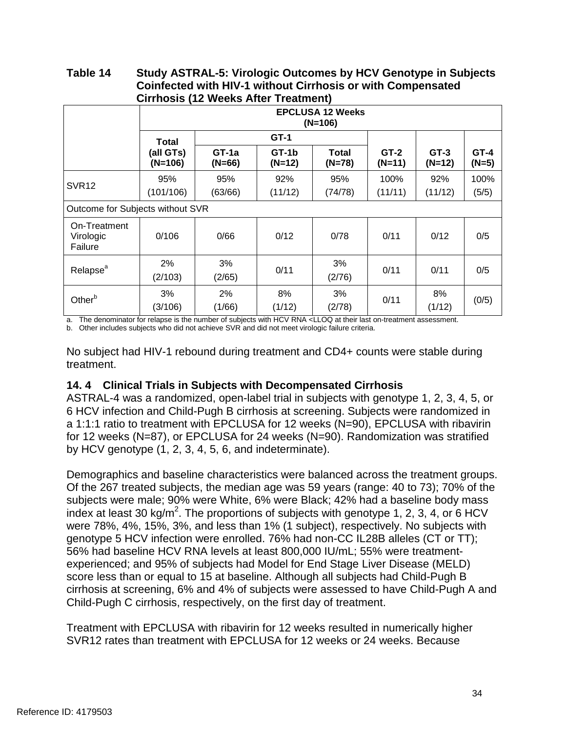#### **Table 14 Study ASTRAL-5: Virologic Outcomes by HCV Genotype in Subjects Coinfected with HIV-1 without Cirrhosis or with Compensated Cirrhosis (12 Weeks After Treatment)**

|                                      | <b>EPCLUSA 12 Weeks</b><br>$(N=106)$ |                   |                   |                          |                    |                    |                   |
|--------------------------------------|--------------------------------------|-------------------|-------------------|--------------------------|--------------------|--------------------|-------------------|
|                                      | <b>Total</b>                         |                   | $GT-1$            |                          | $GT-2$<br>$(N=11)$ | $GT-3$<br>$(N=12)$ | $GT-4$<br>$(N=5)$ |
|                                      | (all GTs)<br>$(N=106)$               | GT-1a<br>$(N=66)$ | GT-1b<br>$(N=12)$ | <b>Total</b><br>$(N=78)$ |                    |                    |                   |
| SVR <sub>12</sub>                    | 95%<br>(101/106)                     | 95%<br>(63/66)    | 92%<br>(11/12)    | 95%<br>(74/78)           | 100%<br>(11/11)    | 92%<br>(11/12)     | 100%<br>(5/5)     |
| Outcome for Subjects without SVR     |                                      |                   |                   |                          |                    |                    |                   |
| On-Treatment<br>Virologic<br>Failure | 0/106                                | 0/66              | 0/12              | 0/78                     | 0/11               | 0/12               | 0/5               |
| Relapse <sup>a</sup>                 | 2%<br>(2/103)                        | 3%<br>(2/65)      | 0/11              | 3%<br>(2/76)             | 0/11               | 0/11               | 0/5               |
| Other <sup>b</sup>                   | 3%<br>(3/106)                        | 2%<br>(1/66)      | 8%<br>(1/12)      | 3%<br>(2/78)             | 0/11               | 8%<br>(1/12)       | (0/5)             |

a. The denominator for relapse is the number of subjects with HCV RNA <LLOQ at their last on-treatment assessment.

b. Other includes subjects who did not achieve SVR and did not meet virologic failure criteria.

No subject had HIV-1 rebound during treatment and CD4+ counts were stable during treatment.

# **14. 4 Clinical Trials in Subjects with Decompensated Cirrhosis**

 ASTRAL-4 was a randomized, open-label trial in subjects with genotype 1, 2, 3, 4, 5, or for 12 weeks (N=87), or EPCLUSA for 24 weeks (N=90). Randomization was stratified 6 HCV infection and Child-Pugh B cirrhosis at screening. Subjects were randomized in a 1:1:1 ratio to treatment with EPCLUSA for 12 weeks (N=90), EPCLUSA with ribavirin by HCV genotype (1, 2, 3, 4, 5, 6, and indeterminate).

 Of the 267 treated subjects, the median age was 59 years (range: 40 to 73); 70% of the genotype 5 HCV infection were enrolled. 76% had non-CC IL28B alleles (CT or TT); experienced; and 95% of subjects had Model for End Stage Liver Disease (MELD) score less than or equal to 15 at baseline. Although all subjects had Child-Pugh B Demographics and baseline characteristics were balanced across the treatment groups. subjects were male; 90% were White, 6% were Black; 42% had a baseline body mass index at least 30 kg/m<sup>2</sup>. The proportions of subjects with genotype 1, 2, 3, 4, or 6 HCV were 78%, 4%, 15%, 3%, and less than 1% (1 subject), respectively. No subjects with 56% had baseline HCV RNA levels at least 800,000 IU/mL; 55% were treatmentcirrhosis at screening, 6% and 4% of subjects were assessed to have Child-Pugh A and Child-Pugh C cirrhosis, respectively, on the first day of treatment.

Treatment with EPCLUSA with ribavirin for 12 weeks resulted in numerically higher SVR12 rates than treatment with EPCLUSA for 12 weeks or 24 weeks. Because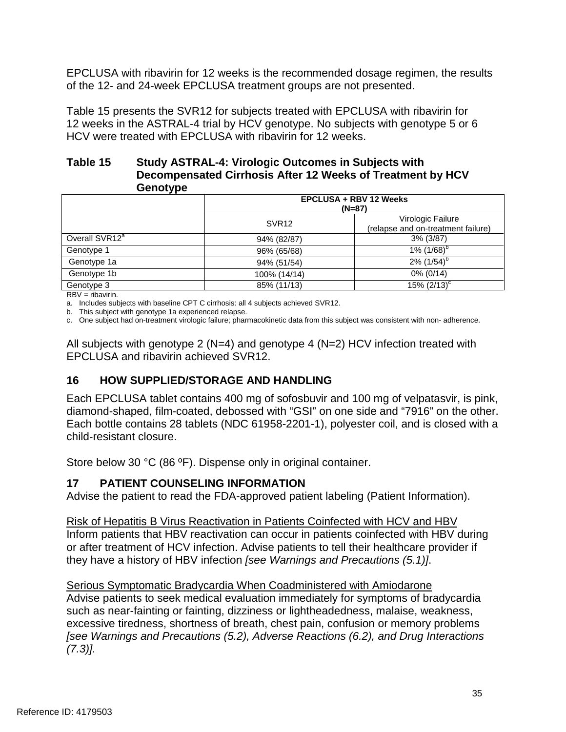EPCLUSA with ribavirin for 12 weeks is the recommended dosage regimen, the results of the 12- and 24-week EPCLUSA treatment groups are not presented.

Table 15 presents the SVR12 for subjects treated with EPCLUSA with ribavirin for 12 weeks in the ASTRAL-4 trial by HCV genotype. No subjects with genotype 5 or 6 HCV were treated with EPCLUSA with ribavirin for 12 weeks.

### **Table 15 Study ASTRAL-4: Virologic Outcomes in Subjects with Decompensated Cirrhosis After 12 Weeks of Treatment by HCV Genotype**

| --------                   |                                           |                                                         |  |  |
|----------------------------|-------------------------------------------|---------------------------------------------------------|--|--|
|                            | <b>EPCLUSA + RBV 12 Weeks</b><br>$(N=87)$ |                                                         |  |  |
|                            | SVR <sub>12</sub>                         | Virologic Failure<br>(relapse and on-treatment failure) |  |  |
| Overall SVR12 <sup>a</sup> | 94% (82/87)                               | $3\%$ ( $3/87$ )                                        |  |  |
| Genotype 1                 | 96% (65/68)                               | 1% $(1/68)^{6}$                                         |  |  |
| Genotype 1a                | 94% (51/54)                               | $2\%$ (1/54) <sup>b</sup>                               |  |  |
| Genotype 1b                | 100% (14/14)                              | $0\%$ (0/14)                                            |  |  |
| Genotype 3                 | 85% (11/13)                               | $15\%$ $(2/13)^{c}$                                     |  |  |

RBV = ribavirin.

a. Includes subjects with baseline CPT C cirrhosis: all 4 subjects achieved SVR12.

b. This subject with genotype 1a experienced relapse.

c. One subject had on-treatment virologic failure; pharmacokinetic data from this subject was consistent with non- adherence.

 EPCLUSA and ribavirin achieved SVR12. All subjects with genotype 2 (N=4) and genotype 4 (N=2) HCV infection treated with

# **16 HOW SUPPLIED/STORAGE AND HANDLING**

 diamond-shaped, film-coated, debossed with "GSI" on one side and "7916" on the other. Each EPCLUSA tablet contains 400 mg of sofosbuvir and 100 mg of velpatasvir, is pink, Each bottle contains 28 tablets (NDC 61958-2201-1), polyester coil, and is closed with a child-resistant closure.

Store below 30 °C (86 ºF). Dispense only in original container.

## **17 PATIENT COUNSELING INFORMATION**

Advise the patient to read the FDA-approved patient labeling (Patient Information).

 or after treatment of HCV infection. Advise patients to tell their healthcare provider if Risk of Hepatitis B Virus Reactivation in Patients Coinfected with HCV and HBV Inform patients that HBV reactivation can occur in patients coinfected with HBV during they have a history of HBV infection *[see Warnings and Precautions (5.1)]*.

Serious Symptomatic Bradycardia When Coadministered with Amiodarone Advise patients to seek medical evaluation immediately for symptoms of bradycardia such as near-fainting or fainting, dizziness or lightheadedness, malaise, weakness, excessive tiredness, shortness of breath, chest pain, confusion or memory problems *[see Warnings and Precautions (5.2), Adverse Reactions (6.2), and Drug Interactions (7.3)].*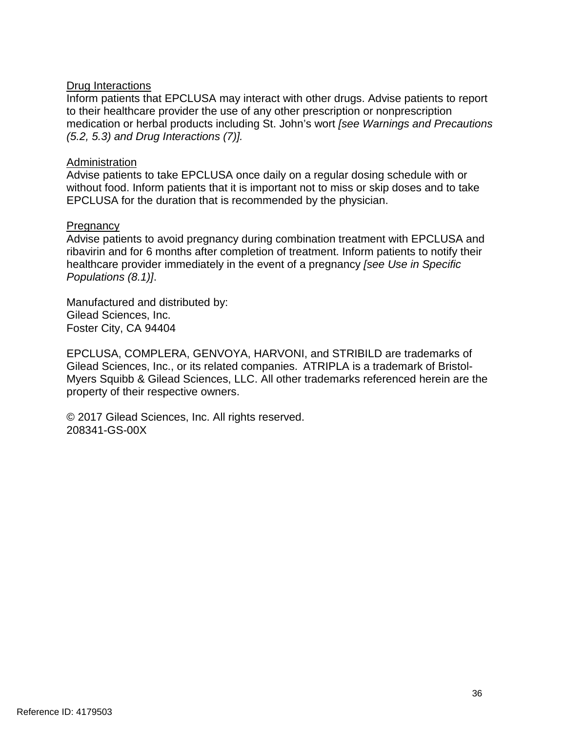## Drug Interactions

Inform patients that EPCLUSA may interact with other drugs. Advise patients to report to their healthcare provider the use of any other prescription or nonprescription medication or herbal products including St. John's wort *[see Warnings and Precautions (5.2, 5.3) and Drug Interactions (7)].* 

### Administration

Advise patients to take EPCLUSA once daily on a regular dosing schedule with or without food. Inform patients that it is important not to miss or skip doses and to take EPCLUSA for the duration that is recommended by the physician.

### **Pregnancy**

Advise patients to avoid pregnancy during combination treatment with EPCLUSA and ribavirin and for 6 months after completion of treatment. Inform patients to notify their healthcare provider immediately in the event of a pregnancy *[see Use in Specific Populations (8.1)]*.

Manufactured and distributed by: Gilead Sciences, Inc. Foster City, CA 94404

EPCLUSA, COMPLERA, GENVOYA, HARVONI, and STRIBILD are trademarks of Gilead Sciences, Inc., or its related companies. ATRIPLA is a trademark of Bristol-Myers Squibb & Gilead Sciences, LLC. All other trademarks referenced herein are the property of their respective owners.

© 2017 Gilead Sciences, Inc. All rights reserved. 208341-GS-00X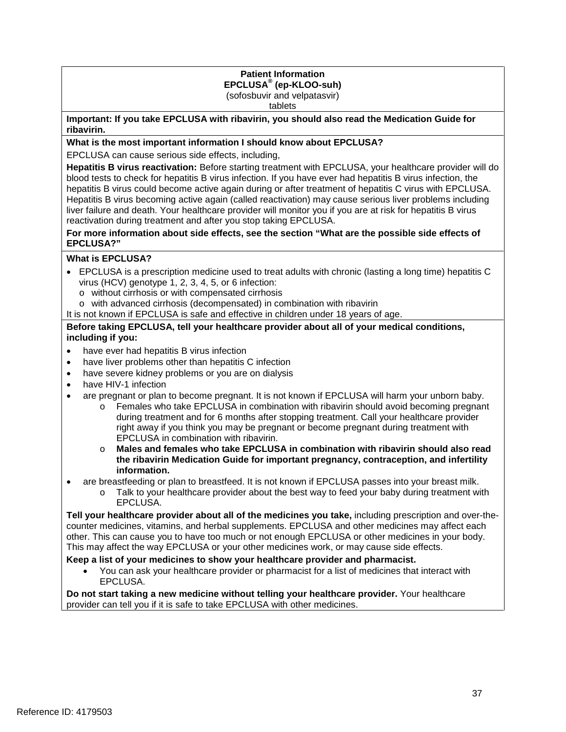## **Patient Information EPCLUSA® (ep-KLOO-suh)**

(sofosbuvir and velpatasvir)

tablets

**Important: If you take EPCLUSA with ribavirin, you should also read the Medication Guide for ribavirin.** 

#### **What is the most important information I should know about EPCLUSA?**

EPCLUSA can cause serious side effects, including,

 Hepatitis B virus becoming active again (called reactivation) may cause serious liver problems including liver failure and death. Your healthcare provider will monitor you if you are at risk for hepatitis B virus **Hepatitis B virus reactivation:** Before starting treatment with EPCLUSA, your healthcare provider will do blood tests to check for hepatitis B virus infection. If you have ever had hepatitis B virus infection, the hepatitis B virus could become active again during or after treatment of hepatitis C virus with EPCLUSA. reactivation during treatment and after you stop taking EPCLUSA.

**For more information about side effects, see the section "What are the possible side effects of EPCLUSA?"** 

#### **What is EPCLUSA?**

- virus (HCV) genotype 1, 2, 3, 4, 5, or 6 infection: • EPCLUSA is a prescription medicine used to treat adults with chronic (lasting a long time) hepatitis C
	- o without cirrhosis or with compensated cirrhosis
- o with advanced cirrhosis (decompensated) in combination with ribavirin
- It is not known if EPCLUSA is safe and effective in children under 18 years of age.

#### **Before taking EPCLUSA, tell your healthcare provider about all of your medical conditions, including if you:**

- have ever had hepatitis B virus infection
- have liver problems other than hepatitis C infection
- have severe kidney problems or you are on dialysis
- have HIV-1 infection
- • are pregnant or plan to become pregnant. It is not known if EPCLUSA will harm your unborn baby.
	- right away if you think you may be pregnant or become pregnant during treatment with  $\circ$  Females who take EPCLUSA in combination with ribavirin should avoid becoming pregnant during treatment and for 6 months after stopping treatment. Call your healthcare provider EPCLUSA in combination with ribavirin.
	- o **Males and females who take EPCLUSA in combination with ribavirin should also read the ribavirin Medication Guide for important pregnancy, contraception, and infertility information.**
- are breastfeeding or plan to breastfeed. It is not known if EPCLUSA passes into your breast milk.
	- o Talk to your healthcare provider about the best way to feed your baby during treatment with EPCLUSA.

 other. This can cause you to have too much or not enough EPCLUSA or other medicines in your body. This may affect the way EPCLUSA or your other medicines work, or may cause side effects. **Tell your healthcare provider about all of the medicines you take,** including prescription and over-thecounter medicines, vitamins, and herbal supplements. EPCLUSA and other medicines may affect each

### **Keep a list of your medicines to show your healthcare provider and pharmacist.**

• You can ask your healthcare provider or pharmacist for a list of medicines that interact with EPCLUSA.

 provider can tell you if it is safe to take EPCLUSA with other medicines. **Do not start taking a new medicine without telling your healthcare provider.** Your healthcare